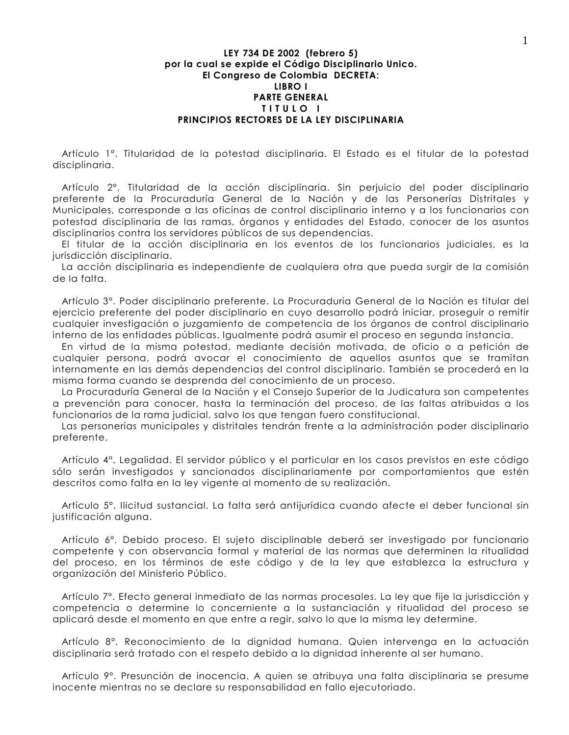## LEY 734 DE 2002 (febrero 5) por la cual se expide el Código Disciplinario Unico. El Congreso de Colombia DECRETA: LIBRO I **PARTE GENERAL** TITULO I PRINCIPIOS RECTORES DE LA LEY DISCIPLINARIA

Artículo 1º. Titularidad de la potestad disciplinaria. El Estado es el titular de la potestad disciplinaria.

Artículo 2°. Titularidad de la acción disciplinaria. Sin perjuicio del poder disciplinario preferente de la Procuraduría General de la Nación y de las Personerías Distritales y Municipales, corresponde a las oficinas de control disciplinario interno y a los funcionarios con potestad disciplinaria de las ramas, órganos y entidades del Estado, conocer de los asuntos disciplinarios contra los servidores públicos de sus dependencias.

El titular de la acción disciplinaria en los eventos de los funcionarios judiciales, es la jurisdicción disciplinaria.

La acción disciplinaria es independiente de cualquiera otra que pueda surgir de la comisión de la falta.

Artículo 3º. Poder disciplinario preferente. La Procuraduría General de la Nación es titular del ejercicio preferente del poder disciplinario en cuyo desarrollo podrá iniciar, proseguir o remitir cualquier investigación o juzgamiento de competencia de los órganos de control disciplinario interno de las entidades públicas, laualmente podrá asumir el proceso en segunda instancia.

En virtud de la misma potestad, mediante decisión motivada, de oficio o a petición de cualquier persona, podrá avocar el conocimiento de aquellos asuntos que se tramitan internamente en las demás dependencias del control disciplinario. También se procederá en la misma forma cuando se desprenda del conocimiento de un proceso.

La Procuraduría General de la Nación y el Consejo Superior de la Judicatura son competentes a prevención para conocer, hasta la terminación del proceso, de las faltas atribuidas a los funcionarios de la rama judicial, salvo los que tengan fuero constitucional.

Las personerías municipales y distritales tendrán frente a la administración poder disciplinario preferente.

Artículo 4°. Legalidad. El servidor público y el particular en los casos previstos en este código sólo serán investigados y sancionados disciplinariamente por comportamientos que estén descritos como falta en la ley vigente al momento de su realización.

Artículo 5°. Ilicitud sustancial. La falta será antijurídica cuando afecte el deber funcional sin justificación alguna.

Artículo 6°. Debido proceso. El sujeto disciplinable deberá ser investigado por funcionario competente y con observancia formal y material de las normas que determinen la ritualidad del proceso, en los términos de este código y de la ley que establezca la estructura y organización del Ministerio Público.

Artículo 7°. Efecto general inmediato de las normas procesales. La ley que fije la jurisdicción y competencia o determine lo concerniente a la sustanciación y ritualidad del proceso se aplicará desde el momento en que entre a regir, salvo lo que la misma ley determine.

Artículo 8°. Reconocimiento de la dignidad humana. Quien intervenga en la actuación disciplinaria será tratado con el respeto debido a la dignidad inherente al ser humano.

Artículo 9°. Presunción de inocencia. A quien se atribuya una falta disciplinaria se presume inocente mientras no se declare su responsabilidad en fallo ejecutoriado.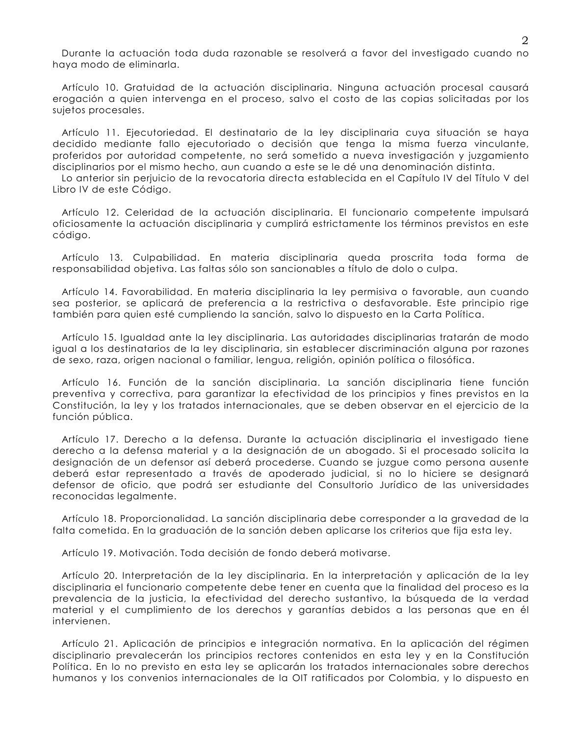Durante la actuación toda duda razonable se resolverá a favor del investigado cuando no haya modo de eliminarla.

Artículo 10. Gratuidad de la actuación disciplinaria. Ninguna actuación procesal causará erogación a quien intervenga en el proceso, salvo el costo de las copias solicitadas por los sujetos procesales.

Artículo 11. Ejecutoriedad. El destinatario de la ley disciplinaria cuya situación se haya decidido mediante fallo ejecutoriado o decisión que tenga la misma fuerza vinculante, proferidos por autoridad competente, no será sometido a nueva investigación y juzgamiento disciplinarios por el mismo hecho, aun cuando a este se le dé una denominación distinta.

Lo anterior sin perjuicio de la revocatoria directa establecida en el Capítulo IV del Título V del Libro IV de este Código.

Artículo 12. Celeridad de la actuación disciplinaria. El funcionario competente impulsará oficiosamente la actuación disciplinaria y cumplirá estrictamente los términos previstos en este código.

Artículo 13. Culpabilidad. En materia disciplinaria queda proscrita toda forma de responsabilidad objetiva. Las faltas sólo son sancionables a título de dolo o culpa.

Artículo 14. Favorabilidad. En materia disciplinaria la ley permisiva o favorable, aun cuando sea posterior, se aplicará de preferencia a la restrictiva o desfavorable. Este principio rige también para quien esté cumpliendo la sanción, salvo lo dispuesto en la Carta Política.

Artículo 15. Igualdad ante la ley disciplinaria. Las autoridades disciplinarias tratarán de modo igual a los destinatarios de la ley disciplinaria, sin establecer discriminación alguna por razones de sexo, raza, origen nacional o familiar, lengua, religión, opinión política o filosófica.

Artículo 16. Función de la sanción disciplinaria. La sanción disciplinaria tiene función preventiva y correctiva, para garantizar la efectividad de los principios y fines previstos en la Constitución, la ley y los tratados internacionales, que se deben observar en el ejercicio de la función pública.

Artículo 17. Derecho a la defensa. Durante la actuación disciplinaria el investigado tiene derecho a la defensa material y a la designación de un abogado. Si el procesado solicita la designación de un defensor así deberá procederse. Cuando se juzgue como persona ausente deberá estar representado a través de apoderado judicial, si no lo hiciere se designará defensor de oficio, que podrá ser estudiante del Consultorio Jurídico de las universidades reconocidas leaglmente.

Artículo 18. Proporcionalidad. La sanción disciplinaria debe corresponder a la gravedad de la falta cometida. En la graduación de la sanción deben aplicarse los criterios que fija esta ley.

Artículo 19. Motivación. Toda decisión de fondo deberá motivarse.

Artículo 20. Interpretación de la ley disciplinaria. En la interpretación y aplicación de la ley disciplinaria el funcionario competente debe tener en cuenta que la finalidad del proceso es la prevalencia de la justicia, la efectividad del derecho sustantivo, la búsqueda de la verdad material y el cumplimiento de los derechos y garantías debidos a las personas que en él intervienen.

Artículo 21. Aplicación de principios e integración normativa. En la aplicación del régimen disciplinario prevalecerán los principios rectores contenidos en esta ley y en la Constitución Política. En lo no previsto en esta ley se aplicarán los tratados internacionales sobre derechos humanos y los convenios internacionales de la OIT ratificados por Colombia, y lo dispuesto en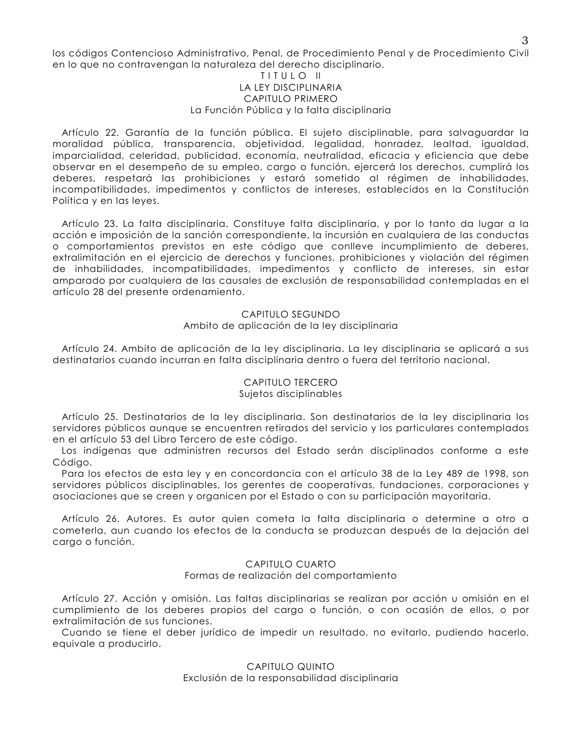los códigos Contencioso Administrativo, Penal, de Procedimiento Penal y de Procedimiento Civil en lo que no contravengan la naturaleza del derecho disciplinario.

## TITULO II LA LEY DISCIPLINARIA CAPITULO PRIMERO La Función Pública y la falta disciplinaria

Artículo 22. Garantía de la función pública. El sujeto disciplinable, para salvaguardar la morglidad pública, transparencia, obietividad, legalidad, honradez, legitad, jaugldad, imparcialidad, celeridad, publicidad, economía, neutralidad, eficacia y eficiencia que debe observar en el desempeño de su empleo, cargo o función, ejercerá los derechos, cumplirá los deberes, respetará las prohibiciones y estará sometido al régimen de inhabilidades, incompatibilidades, impedimentos y conflictos de intereses, establecidos en la Constitución Política y en las leves.

Artículo 23. La falta disciplinaria. Constituye falta disciplinaria, y por lo tanto da lugar a la acción e imposición de la sanción correspondiente, la incursión en cualquiera de las conductas o comportamientos previstos en este código que conlleve incumplimiento de deberes, extralimitación en el ejercicio de derechos y funciones, prohibiciones y violación del régimen de inhabilidades, incompatibilidades, impedimentos y conflicto de intereses, sin estar amparado por cualquiera de las causales de exclusión de responsabilidad contempladas en el artículo 28 del presente ordenamiento.

## CAPITULO SEGUNDO Ambito de aplicación de la ley disciplinaria

Artículo 24. Ambito de aplicación de la ley disciplinaria. La ley disciplinaria se aplicará a sus destinatarios cuando incurran en falta disciplinaria dentro o fuera del territorio nacional.

# **CAPITULO TERCERO** Sujetos disciplinables

Artículo 25. Destinatarios de la ley disciplinaria. Son destinatarios de la ley disciplinaria los servidores públicos aunque se encuentren retirados del servicio y los particulares contemplados en el artículo 53 del Libro Tercero de este código.

Los indígenas que administren recursos del Estado serán disciplinados conforme a este Código.

Para los efectos de esta ley y en concordancia con el artículo 38 de la Ley 489 de 1998, son servidores públicos disciplinables, los gerentes de cooperativas, fundaciones, corporaciones y asociaciones que se creen y organicen por el Estado o con su participación mayoritaria.

Artículo 26. Autores. Es autor quien cometa la falta disciplinaria o determine a otro a cometerla, aun cuando los efectos de la conducta se produzcan después de la dejación del cargo o función.

# CAPITULO CUARTO

## Formas de realización del comportamiento

Artículo 27. Acción y omisión. Las faltas disciplinarias se realizan por acción u omisión en el cumplimiento de los deberes propios del cargo o función, o con ocasión de ellos, o por extralimitación de sus funciones.

Cuando se tiene el deber jurídico de impedir un resultado, no evitarlo, pudiendo hacerlo, equivale a producirlo.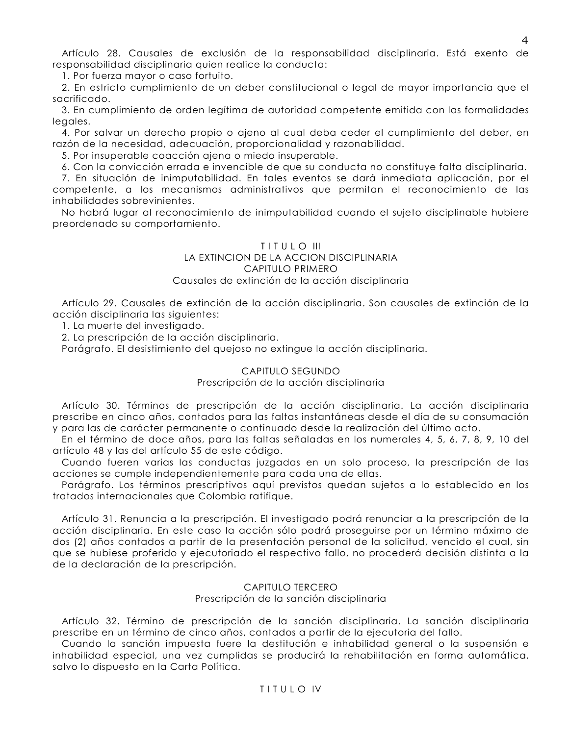Artículo 28. Causales de exclusión de la responsabilidad disciplinaria. Está exento de responsabilidad disciplinaria quien realice la conducta:

1. Por fuerza mayor o caso fortuito.

2. En estricto cumplimiento de un deber constitucional o legal de mayor importancia que el sacrificado.

3. En cumplimiento de orden legítima de autoridad competente emitida con las formalidades legales.

4. Por salvar un derecho propio o ajeno al cual deba ceder el cumplimiento del deber, en razón de la necesidad, adecuación, proporcionalidad y razonabilidad.

5. Por insuperable coacción ajena o miedo insuperable.

6. Con la convicción errada e invencible de que su conducta no constituye falta disciplinaria.

7. En situación de inimputabilidad. En tales eventos se dará inmediata aplicación, por el competente, a los mecanismos administrativos que permitan el reconocimiento de las inhabilidades sobrevinientes.

No habrá lugar al reconocimiento de inimputabilidad cuando el sujeto disciplinable hubiere preordenado su comportamiento.

# TITULO III

#### LA EXTINCION DE LA ACCION DISCIPLINARIA CAPITULO PRIMERO

# Causales de extinción de la acción disciplinaria

Artículo 29. Causales de extinción de la acción disciplinaria. Son causales de extinción de la acción disciplinaria las siguientes:

1. La muerte del investigado.

2. La prescripción de la acción disciplinaria.

Parágrafo. El desistimiento del quejoso no extingue la acción disciplinaria.

# CAPITULO SEGUNDO

# Prescripción de la acción disciplinaria

Artículo 30. Términos de prescripción de la acción disciplinaria. La acción disciplinaria prescribe en cinco años, contados para las faltas instantáneas desde el día de su consumación y para las de carácter permanente o continuado desde la realización del último acto.

En el término de doce años, para las faltas señaladas en los numerales 4, 5, 6, 7, 8, 9, 10 del artículo 48 y las del artículo 55 de este código.

Cuando fueren varias las conductas juzgadas en un solo proceso, la prescripción de las acciones se cumple independientemente para cada una de ellas.

Parágrafo. Los términos prescriptivos aquí previstos quedan sujetos a lo establecido en los tratados internacionales que Colombia ratifique.

Artículo 31. Renuncia a la prescripción. El investigado podrá renunciar a la prescripción de la acción disciplinaria. En este caso la acción sólo podrá proseguirse por un término máximo de dos (2) años contados a partir de la presentación personal de la solicitud, vencido el cual, sin que se hubiese proferido y ejecutoriado el respectivo fallo, no procederá decisión distinta a la de la declaración de la prescripción.

# CAPITULO TERCERO

Prescripción de la sanción disciplinaria

Artículo 32. Término de prescripción de la sanción disciplinaria. La sanción disciplinaria prescribe en un término de cinco años, contados a partir de la ejecutoria del fallo.

Cuando la sanción impuesta fuere la destitución e inhabilidad general o la suspensión e inhabilidad especial, una vez cumplidas se producirá la rehabilitación en forma automática, salvo lo dispuesto en la Carta Política.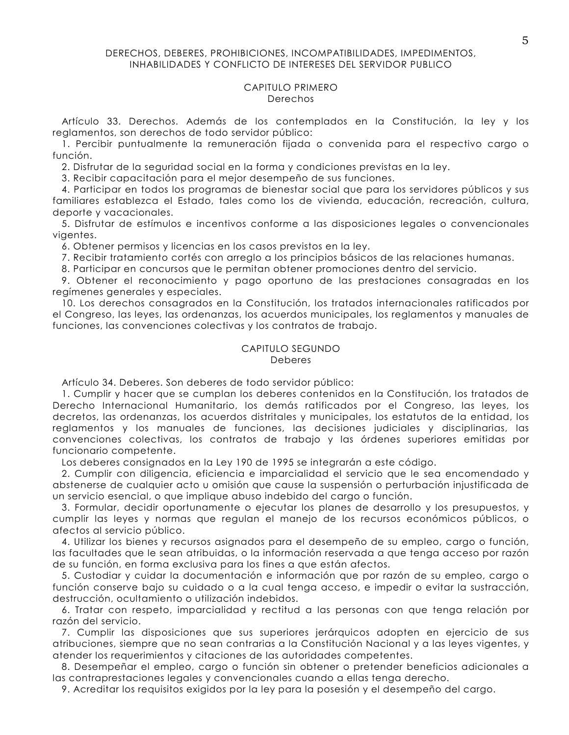#### DERECHOS, DEBERES, PROHIBICIONES, INCOMPATIBILIDADES, IMPEDIMENTOS, INHABILIDADES Y CONFLICTO DE INTERESES DEL SERVIDOR PUBLICO

## CAPITULO PRIMERO Derechos

Artículo 33. Derechos. Además de los contemplados en la Constitución, la ley y los reglamentos, son derechos de todo servidor público:

1. Percibir puntualmente la remuneración fijada o convenida para el respectivo cargo o función.

2. Disfrutar de la seguridad social en la forma y condiciones previstas en la ley.

3. Recibir capacitación para el mejor desempeño de sus funciones.

4. Participar en todos los programas de bienestar social que para los servidores públicos y sus familiares establezca el Estado, tales como los de vivienda, educación, recreación, cultura, deporte y vacacionales.

5. Disfrutar de estímulos e incentivos conforme a las disposiciones legales o convencionales vigentes.

6. Obtener permisos y licencias en los casos previstos en la ley.

7. Recibir tratamiento cortés con arreglo a los principios básicos de las relaciones humanas.

8. Participar en concursos que le permitan obtener promociones dentro del servicio.

9. Obtener el reconocimiento y pago oportuno de las prestaciones consagradas en los regímenes generales y especiales.

10. Los derechos consagrados en la Constitución, los tratados internacionales ratificados por el Congreso, las leyes, las ordenanzas, los acuerdos municipales, los reglamentos y manuales de funciones, las convenciones colectivas y los contratos de trabajo.

#### CAPITULO SEGUNDO **Deberes**

Artículo 34. Deberes. Son deberes de todo servidor público:

1. Cumplir y hacer que se cumplan los deberes contenidos en la Constitución, los tratados de Derecho Internacional Humanitario, los demás ratificados por el Congreso, las leyes, los decretos, las ordenanzas, los acuerdos distritales y municipales, los estatutos de la entidad, los reglamentos y los manuales de funciones, las decisiones judiciales y disciplinarias, las convenciones colectivas, los contratos de trabajo y las órdenes superiores emitidas por funcionario competente.

Los deberes consignados en la Ley 190 de 1995 se integrarán a este código.

2. Cumplir con diligencia, eficiencia e imparcialidad el servicio que le sea encomendado y abstenerse de cualquier acto u omisión que cause la suspensión o perturbación injustificada de un servicio esencial, o que implique abuso indebido del cargo o función.

3. Formular, decidir oportunamente o ejecutar los planes de desarrollo y los presupuestos, y cumplir las leyes y normas que regulan el manejo de los recursos económicos públicos, o afectos al servicio público.

4. Utilizar los bienes y recursos asignados para el desempeño de su empleo, cargo o función, las facultades que le sean atribuidas, o la información reservada a que tenga acceso por razón de su función, en forma exclusiva para los fines a que están afectos.

5. Custodiar y cuidar la documentación e información que por razón de su empleo, cargo o función conserve bajo su cuidado o a la cual tenga acceso, e impedir o evitar la sustracción, destrucción, ocultamiento o utilización indebidos.

6. Tratar con respeto, imparcialidad y rectitud a las personas con que tenga relación por razón del servicio.

7. Cumplir las disposiciones que sus superiores jerárquicos adopten en ejercicio de sus atribuciones, siempre que no sean contrarias a la Constitución Nacional y a las leyes vigentes, y atender los requerimientos y citaciones de las autoridades competentes.

8. Desempeñar el empleo, cargo o función sin obtener o pretender beneficios adicionales a las contraprestaciones legales y convencionales cuando a ellas tenga derecho.

9. Acreditar los requisitos exigidos por la ley para la posesión y el desempeño del cargo.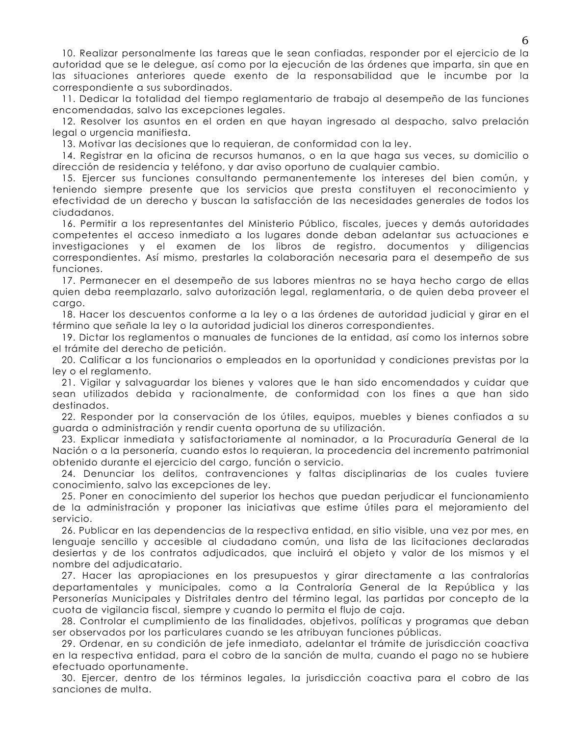10. Realizar personalmente las tareas que le sean confiadas, responder por el ejercicio de la autoridad que se le delegue, así como por la ejecución de las órdenes que imparta, sin que en las situaciones anteriores quede exento de la responsabilidad que le incumbe por la correspondiente a sus subordinados.

11. Dedicar la totalidad del tiempo reglamentario de trabajo al desempeño de las funciones encomendadas, salvo las excepciones legales.

12. Resolver los asuntos en el orden en que hayan ingresado al despacho, salvo prelación legal o urgencia manifiesta.

13. Motivar las decisiones que lo requieran, de conformidad con la lev.

14. Registrar en la oficina de recursos humanos, o en la que haga sus veces, su domicilio o dirección de residencia y teléfono, y dar aviso oportuno de cualquier cambio.

15. Ejercer sus funciones consultando permanentemente los intereses del bien común, y teniendo siempre presente que los servicios que presta constituyen el reconocimiento y efectividad de un derecho y buscan la satisfacción de las necesidades generales de todos los ciudadanos.

16. Permitir a los representantes del Ministerio Público, fiscales, jueces y demás autoridades competentes el acceso inmediato a los lugares donde deban adelantar sus actuaciones e investigaciones y el examen de los libros de registro, documentos y diligencias correspondientes. Así mismo, prestarles la colaboración necesaria para el desempeño de sus funciones.

17. Permanecer en el desempeño de sus labores mientras no se haya hecho cargo de ellas quien deba reemplazarlo, salvo autorización legal, reglamentaria, o de quien deba proveer el cargo.

18. Hacer los descuentos conforme a la ley o a las órdenes de autoridad judicial y girar en el término que señale la ley o la autoridad judicial los dineros correspondientes.

19. Dictar los reglamentos o manuales de funciones de la entidad, así como los internos sobre el trámite del derecho de petición.

20. Calificar a los funcionarios o empleados en la oportunidad y condiciones previstas por la ley o el reglamento.

21. Vigilar y salvaguardar los bienes y valores que le han sido encomendados y cuidar que sean utilizados debida y racionalmente, de conformidad con los fines a que han sido destinados.

22. Responder por la conservación de los útiles, equipos, muebles y bienes confiados a su guarda o administración y rendir cuenta oportuna de su utilización.

23. Explicar inmediata y satisfactoriamente al nominador, a la Procuraduría General de la Nación o a la personería, cuando estos lo requieran, la procedencia del incremento patrimonial obtenido durante el ejercicio del cargo, función o servicio.

24. Denunciar los delitos, contravenciones y faltas disciplinarias de los cuales tuviere conocimiento, salvo las excepciones de ley.

25. Poner en conocimiento del superior los hechos que puedan perjudicar el funcionamiento de la administración y proponer las iniciativas que estime útiles para el mejoramiento del servicio.

26. Publicar en las dependencias de la respectiva entidad, en sitio visible, una vez por mes, en lenguaje sencillo y accesible al ciudadano común, una lista de las licitaciones declaradas desiertas y de los contratos adjudicados, que incluirá el objeto y valor de los mismos y el nombre del adjudicatario.

27. Hacer las apropiaciones en los presupuestos y girar directamente a las contralorías departamentales y municipales, como a la Contraloría General de la República y las Personerías Municipales y Distritales dentro del término legal, las partidas por concepto de la cuota de vigilancia fiscal, siempre y cuando lo permita el flujo de caja.

28. Controlar el cumplimiento de las finalidades, objetivos, políticas y programas que deban ser observados por los particulares cuando se les atribuyan funciones públicas.

29. Ordenar, en su condición de jefe inmediato, adelantar el trámite de jurisdicción coactiva en la respectiva entidad, para el cobro de la sanción de multa, cuando el pago no se hubiere efectuado oportunamente.

30. Ejercer, dentro de los términos legales, la jurisdicción coactiva para el cobro de las sanciones de multa.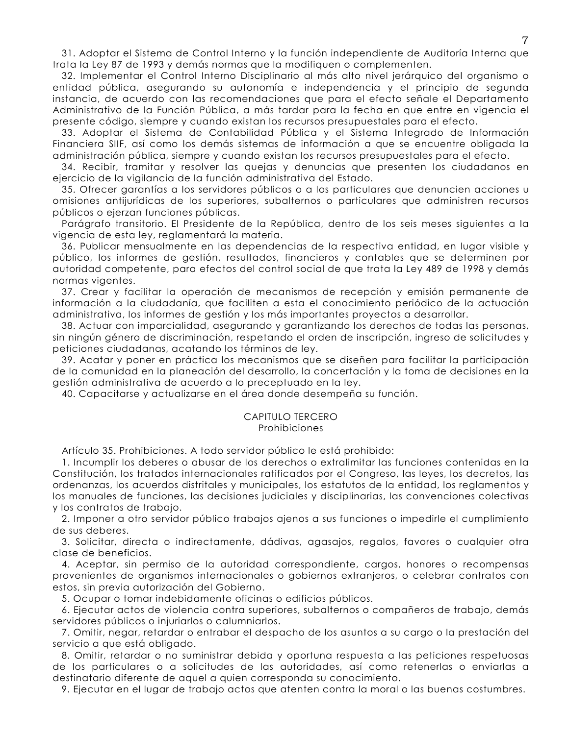31. Adoptar el Sistema de Control Interno y la función independiente de Auditoría Interna que trata la Ley 87 de 1993 y demás normas que la modifiquen o complementen.

32. Implementar el Control Interno Disciplinario al más alto nivel jerárquico del organismo o entidad pública, asegurando su autonomía e independencia y el principio de segunda instancia, de acuerdo con las recomendaciones que para el efecto señale el Departamento Administrativo de la Función Pública, a más tardar para la fecha en que entre en vigencia el presente código, siempre y cuando existan los recursos presupuestales para el efecto.

33. Adoptar el Sistema de Contabilidad Pública y el Sistema Integrado de Información Financiera SIIF, así como los demás sistemas de información a que se encuentre obliagda la administración pública, siempre y cuando existan los recursos presupuestales para el efecto.

34. Recibir, tramitar y resolver las quejas y denuncias que presenten los ciudadanos en ejercicio de la vigilancia de la función administrativa del Estado.

35. Ofrecer garantías a los servidores públicos o a los particulares que denuncien acciones u omisiones antijurídicas de los superiores, subalternos o particulares que administren recursos públicos o ejerzan funciones públicas.

Parágrafo transitorio. El Presidente de la República, dentro de los seis meses siguientes a la vigencia de esta ley, reglamentará la materia.

36. Publicar mensualmente en las dependencias de la respectiva entidad, en lugar visible y público, los informes de gestión, resultados, financieros y contables que se determinen por autoridad competente, para efectos del control social de que trata la Ley 489 de 1998 y demás normas vigentes.

37. Crear y facilitar la operación de mecanismos de recepción y emisión permanente de información a la ciudadanía, que faciliten a esta el conocimiento periódico de la actuación administrativa, los informes de gestión y los más importantes proyectos a desarrollar.

38. Actuar con imparcialidad, asegurando y garantizando los derechos de todas las personas, sin ningún género de discriminación, respetando el orden de inscripción, ingreso de solicitudes y peticiones ciudadanas, acatando los términos de ley.

39. Acatar y poner en práctica los mecanismos que se diseñen para facilitar la participación de la comunidad en la planeación del desarrollo, la concertación y la toma de decisiones en la gestión administrativa de acuerdo a lo preceptuado en la ley.

40. Capacitarse y actualizarse en el área donde desempeña su función.

#### CAPITULO TERCERO Prohibiciones

Artículo 35. Prohibiciones. A todo servidor público le está prohibido:

1. Incumplir los deberes o abusar de los derechos o extralimitar las funciones contenidas en la Constitución, los tratados internacionales ratificados por el Congreso, las leyes, los decretos, las ordenanzas, los acuerdos distritales y municipales, los estatutos de la entidad, los reglamentos y los manuales de funciones, las decisiones judiciales y disciplinarias, las convenciones colectivas y los contratos de trabajo.

2. Imponer a otro servidor público trabajos ajenos a sus funciones o impedirle el cumplimiento de sus deberes.

3. Solicitar, directa o indirectamente, dádivas, agasajos, regalos, favores o cualquier otra clase de beneficios.

4. Aceptar, sin permiso de la autoridad correspondiente, cargos, honores o recompensas provenientes de organismos internacionales o gobiernos extranjeros, o celebrar contratos con estos, sin previa autorización del Gobierno.

5. Ocupar o tomar indebidamente oficinas o edificios públicos.

6. Ejecutar actos de violencia contra superiores, subalternos o compañeros de trabajo, demás servidores públicos o injuriarlos o calumniarlos.

7. Omitir, negar, retardar o entrabar el despacho de los asuntos a su cargo o la prestación del servicio a que está obligado.

8. Omitir, retardar o no suministrar debida y oportuna respuesta a las peticiones respetuosas de los particulares o a solicitudes de las autoridades, así como retenerlas o enviarlas a destinatario diferente de aquel a quien corresponda su conocimiento.

9. Ejecutar en el lugar de trabajo actos que atenten contra la moral o las buenas costumbres.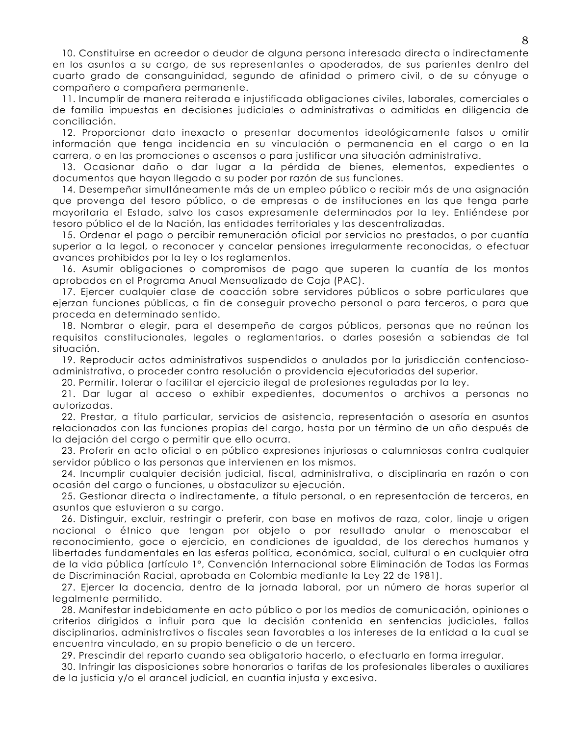10. Constituirse en acreedor o deudor de alguna persona interesada directa o indirectamente en los asuntos a su cargo, de sus representantes o apoderados, de sus parientes dentro del cuarto grado de consanguinidad, segundo de afinidad o primero civil, o de su cónyuge o compañero o compañera permanente.

11. Incumplir de manera reiterada e injustificada obligaciones civiles, laborales, comerciales o de familia impuestas en decisiones judiciales o administrativas o admitidas en diligencia de conciliación.

12. Proporcionar dato inexacto o presentar documentos ideológicamente falsos u omitir información que tenga incidencia en su vinculación o permanencia en el cargo o en la carrera, o en las promociones o ascensos o para justificar una situación administrativa.

13. Ocasionar daño o dar lugar a la pérdida de bienes, elementos, expedientes o documentos que hayan llegado a su poder por razón de sus funciones.

14. Desempeñar simultáneamente más de un empleo público o recibir más de una asignación que provenga del tesoro público, o de empresas o de instituciones en las que tenga parte mayoritaria el Estado, salvo los casos expresamente determinados por la ley. Entiéndese por tesoro público el de la Nación, las entidades territoriales y las descentralizadas.

15. Ordenar el pago o percibir remuneración oficial por servicios no prestados, o por cuantía superior a la legal, o reconocer y cancelar pensiones irregularmente reconocidas, o efectuar avances prohibidos por la ley o los reglamentos.

16. Asumir obligaciones o compromisos de pago que superen la cuantía de los montos aprobados en el Programa Anual Mensualizado de Caja (PAC).

17. Ejercer cualquier clase de coacción sobre servidores públicos o sobre particulares que ejerzan funciones públicas, a fin de conseguir provecho personal o para terceros, o para que proceda en determinado sentido.

18. Nombrar o elegir, para el desempeño de cargos públicos, personas que no reúnan los requisitos constitucionales, legales o reglamentarios, o darles posesión a sabiendas de tal situación.

19. Reproducir actos administrativos suspendidos o anulados por la jurisdicción contenciosoadministrativa, o proceder contra resolución o providencia ejecutoriadas del superior.

20. Permitir, tolerar o facilitar el ejercicio ilegal de profesiones reguladas por la ley.

21. Dar lugar al acceso o exhibir expedientes, documentos o archivos a personas no autorizadas.

22. Prestar, a título particular, servicios de asistencia, representación o asesoría en asuntos relacionados con las funciones propias del cargo, hasta por un término de un año después de la dejación del cargo o permitir que ello ocurra.

23. Proferir en acto oficial o en público expresiones injuriosas o calumniosas contra cualquier servidor público o las personas que intervienen en los mismos.

24. Incumplir cualquier decisión judicial, fiscal, administrativa, o disciplinaria en razón o con ocasión del cargo o funciones, u obstaculizar su ejecución.

25. Gestionar directa o indirectamente, a título personal, o en representación de terceros, en asuntos que estuvieron a su cargo.

26. Distinguir, excluir, restringir o preferir, con base en motivos de raza, color, lingie u origen nacional o étnico que tengan por objeto o por resultado anular o menoscabar el reconocimiento, goce o ejercicio, en condiciones de igualdad, de los derechos humanos y libertades fundamentales en las esferas política, económica, social, cultural o en cualquier otra de la vida pública (artículo 1°, Convención Internacional sobre Eliminación de Todas las Formas de Discriminación Racial, aprobada en Colombia mediante la Ley 22 de 1981).

27. Ejercer la docencia, dentro de la jornada laboral, por un número de horas superior al legalmente permitido.

28. Manifestar indebidamente en acto público o por los medios de comunicación, opiniones o criterios dirigidos a influir para que la decisión contenida en sentencias judiciales, fallos disciplinarios, administrativos o fiscales sean favorables a los intereses de la entidad a la cual se encuentra vinculado, en su propio beneficio o de un tercero.

29. Prescindir del reparto cuando sea obligatorio hacerlo, o efectuarlo en forma irregular.

30. Infringir las disposiciones sobre honorarios o tarifas de los profesionales liberales o auxiliares de la justicia y/o el arancel judicial, en cuantía injusta y excesiva.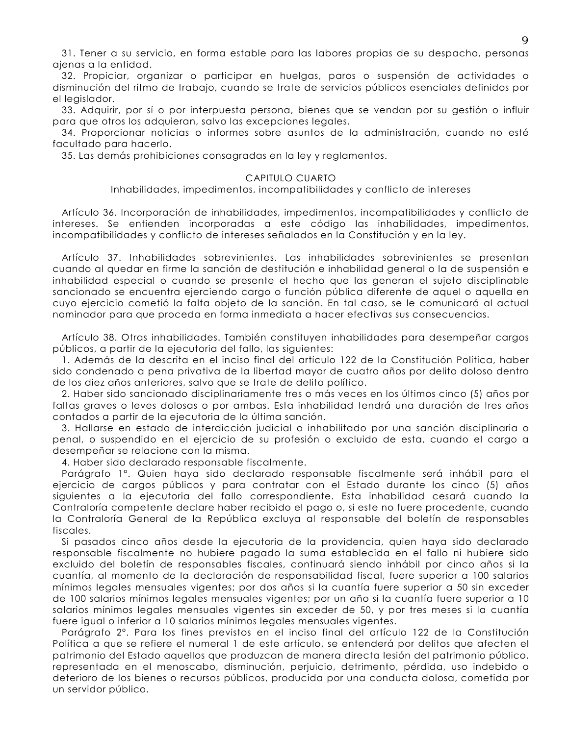31. Tener a su servicio, en forma estable para las labores propias de su despacho, personas ajenas a la entidad.

32. Propiciar, organizar o participar en huelgas, paros o suspensión de actividades o disminución del ritmo de trabajo, cuando se trate de servicios públicos esenciales definidos por el legislador.

33. Adquirir, por sí o por interpuesta persona, bienes que se vendan por su gestión o influir para que otros los adquieran, salvo las excepciones legales.

34. Proporcionar noticias o informes sobre asuntos de la administración, cuando no esté facultado para hacerlo.

35. Las demás prohibiciones consagradas en la ley y reglamentos.

#### CAPITULO CUARTO

#### Inhabilidades, impedimentos, incompatibilidades y conflicto de intereses

Artículo 36. Incorporación de inhabilidades, impedimentos, incompatibilidades y conflicto de intereses. Se entienden incorporadas a este código las inhabilidades, impedimentos, incompatibilidades y conflicto de intereses señalados en la Constitución y en la ley.

Artículo 37. Inhabilidades sobrevinientes. Las inhabilidades sobrevinientes se presentan cuando al quedar en firme la sanción de destitución e inhabilidad general o la de suspensión e inhabilidad especial o cuando se presente el hecho que las generan el sujeto disciplinable sancionado se encuentra ejerciendo cargo o función pública diferente de aquel o aquella en cuyo ejercicio cometió la falta objeto de la sanción. En tal caso, se le comunicará al actual nominador para que proceda en forma inmediata a hacer efectivas sus consecuencias.

Artículo 38. Otras inhabilidades. También constituyen inhabilidades para desempeñar cargos públicos, a partir de la ejecutoria del fallo, las siguientes:

1. Además de la descrita en el inciso final del artículo 122 de la Constitución Política, haber sido condenado a pena privativa de la libertad mayor de cuatro años por delito doloso dentro de los diez años anteriores, salvo que se trate de delito político.

2. Haber sido sancionado disciplinariamente tres o más veces en los últimos cinco (5) años por faltas graves o leves dolosas o por ambas. Esta inhabilidad tendrá una duración de tres años contados a partir de la ejecutoria de la última sanción.

3. Hallarse en estado de interdicción judicial o inhabilitado por una sanción disciplinaria o penal, o suspendido en el ejercicio de su profesión o excluido de esta, cuando el cargo a desempeñar se relacione con la misma.

4. Haber sido declarado responsable fiscalmente.

Parágrafo 1º. Quien haya sido declarado responsable fiscalmente será inhábil para el ejercicio de cargos públicos y para contratar con el Estado durante los cinco (5) años siguientes a la ejecutoria del fallo correspondiente. Esta inhabilidad cesará cuando la Contraloría competente declare haber recibido el pago o, si este no fuere procedente, cuando la Contraloría General de la República excluya al responsable del boletín de responsables fiscales.

Si pasados cinco años desde la ejecutoria de la providencia, quien haya sido declarado responsable fiscalmente no hubiere pagado la suma establecida en el fallo ni hubiere sido excluido del boletín de responsables fiscales, continuará siendo inhábil por cinco años si la cuantía, al momento de la declaración de responsabilidad fiscal, fuere superior a 100 salarios mínimos legales mensuales vigentes; por dos años si la cuantía fuere superior a 50 sin exceder de 100 salarios mínimos legales mensuales vigentes; por un año si la cuantía fuere superior a 10 salarios mínimos legales mensuales vigentes sin exceder de 50, y por tres meses si la cuantía fuere igual o inferior a 10 salarios mínimos legales mensuales vigentes.

Parágrafo 2º. Para los fines previstos en el inciso final del artículo 122 de la Constitución Política a que se refiere el numeral 1 de este artículo, se entenderá por delitos que afecten el patrimonio del Estado aquellos que produzcan de manera directa lesión del patrimonio público, representada en el menoscabo, disminución, perjuicio, detrimento, pérdida, uso indebido o deterioro de los bienes o recursos públicos, producida por una conducta dolosa, cometida por un servidor público.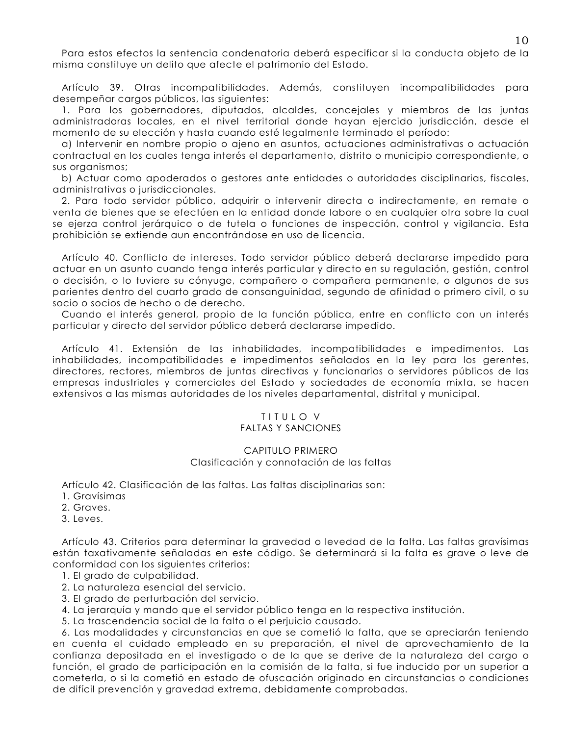Para estos efectos la sentencia condenatoria deberá especificar si la conducta objeto de la misma constituye un delito que afecte el patrimonio del Estado.

Artículo 39. Otras incompatibilidades. Además, constituyen incompatibilidades para desempeñar cargos públicos, las siguientes:

1. Para los gobernadores, diputados, alcaldes, concejales y miembros de las juntas administradoras locales, en el nivel territorial donde hayan ejercido jurisdicción, desde el momento de su elección y hasta cuando esté legalmente terminado el período:

a) Intervenir en nombre propio o gieno en asuntos, actuaciones administrativas o actuación contractual en los cuales tenga interés el departamento, distrito o municipio correspondiente, o sus organismos;

b) Actuar como apoderados o gestores ante entidades o autoridades disciplinarias, fiscales, administrativas o jurisdiccionales.

2. Para todo servidor público, adquirir o intervenir directa o indirectamente, en remate o venta de bienes que se efectúen en la entidad donde labore o en cualquier otra sobre la cual se ejerza control jerárquico o de tutela o funciones de inspección, control y vigilancia. Esta prohibición se extiende qun encontrándose en uso de licencia.

Artículo 40. Conflicto de intereses. Todo servidor público deberá declararse impedido para actuar en un asunto cuando tenga interés particular y directo en su regulación, gestión, control o decisión, o lo tuviere su cónyuge, compañero o compañera permanente, o algunos de sus parientes dentro del cuarto grado de consanguinidad, segundo de afinidad o primero civil, o su socio o socios de hecho o de derecho.

Cuando el interés general, propio de la función pública, entre en conflicto con un interés particular y directo del servidor público deberá declararse impedido.

Artículo 41. Extensión de las inhabilidades, incompatibilidades e impedimentos. Las inhabilidades, incompatibilidades e impedimentos señalados en la ley para los gerentes, directores, rectores, miembros de juntas directivas y funcionarios o servidores públicos de las empresas industriales y comerciales del Estado y sociedades de economía mixta, se hacen extensivos a las mismas autoridades de los niveles departamental, distrital y municipal.

#### TITULO V **FALTAS Y SANCIONES**

## CAPITULO PRIMERO Clasificación y connotación de las faltas

Artículo 42. Clasificación de las faltas. Las faltas disciplinarias son:

- 1. Gravísimas
- 2. Graves.
- 3. Leves.

Artículo 43. Criterios para determinar la gravedad o levedad de la falta. Las faltas gravísimas están taxativamente señaladas en este código. Se determinará si la falta es grave o leve de conformidad con los siguientes criterios:

- 1. El grado de culpabilidad.
- 2. La naturaleza esencial del servicio.
- 3. El grado de perturbación del servicio.
- 4. La jerarquía y mando que el servidor público tenga en la respectiva institución.
- 5. La trascendencia social de la falta o el perivicio causado.

6. Las modalidades y circunstancias en que se cometió la falta, que se apreciarán teniendo en cuenta el cuidado empleado en su preparación, el nivel de aprovechamiento de la confianza depositada en el investigado o de la que se derive de la naturaleza del cargo o función, el grado de participación en la comisión de la falta, si fue inducido por un superior a cometerla, o si la cometió en estado de ofuscación originado en circunstancias o condiciones de difícil prevención y gravedad extrema, debidamente comprobadas.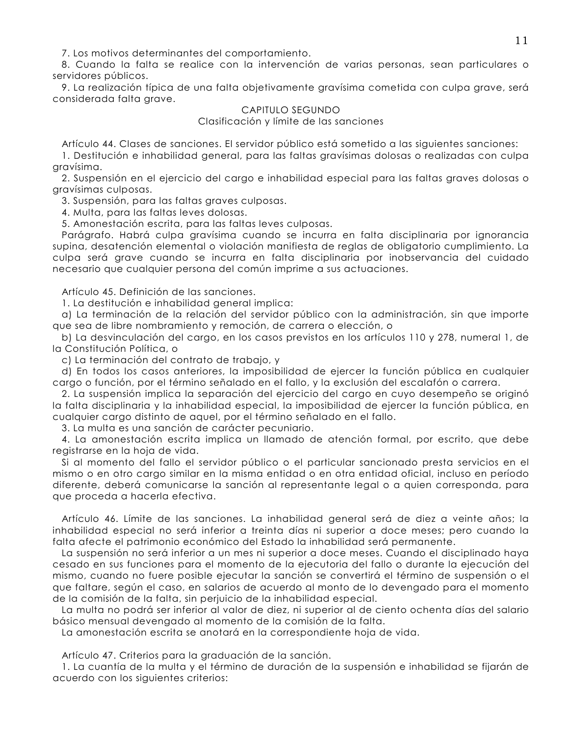7. Los motivos determinantes del comportamiento.

8. Cuando la falta se realice con la intervención de varias personas, sean particulares o servidores públicos.

9. La realización típica de una falta objetivamente gravísima cometida con culpa grave, será considerada falta grave.

#### CAPITULO SEGUNDO Clasificación y límite de las sanciones

Artículo 44. Clases de sanciones. El servidor público está sometido a las siguientes sanciones:

1. Destitución e inhabilidad general, para las faltas gravísimas dolosas o realizadas con culpa gravísima.

2. Suspensión en el ejercicio del cargo e inhabilidad especial para las faltas graves dolosas o gravísimas culposas.

3. Suspensión, para las faltas graves culposas.

4. Multa, para las faltas leves dolosas.

5. Amonestación escrita, para las faltas leves culposas.

Parágrafo. Habrá culpa gravísima cuando se incurra en falta disciplinaria por ignorancia supina, desatención elemental o violación manifiesta de reglas de obligatorio cumplimiento. La culpa será grave cuando se incurra en falta disciplinaria por inobservancia del cuidado necesario que cualquier persona del común imprime a sus actuaciones.

Artículo 45. Definición de las sanciones.

1. La destitución e inhabilidad general implica:

a) La terminación de la relación del servidor público con la administración, sin que importe que sea de libre nombramiento y remoción, de carrera o elección, o

b) La desvinculación del cargo, en los casos previstos en los artículos 110 y 278, numeral 1, de la Constitución Política, o

c) La terminación del contrato de trabajo, y

d) En todos los casos anteriores, la imposibilidad de ejercer la función pública en cualquier cargo o función, por el término señalado en el fallo, y la exclusión del escalafón o carrera.

2. La suspensión implica la separación del ejercicio del cargo en cuyo desempeño se originó la falta disciplinaria y la inhabilidad especial, la imposibilidad de ejercer la función pública, en cualquier cargo distinto de aquel, por el término señalado en el fallo.

3. La multa es una sanción de carácter pecuniario.

4. La amonestación escrita implica un llamado de atención formal, por escrito, que debe registrarse en la hoja de vida.

Si al momento del fallo el servidor público o el particular sancionado presta servicios en el mismo o en otro cargo similar en la misma entidad o en otra entidad oficial, incluso en período diferente, deberá comunicarse la sanción al representante legal o a quien corresponda, para que proceda a hacerla efectiva.

Artículo 46. Límite de las sanciones. La inhabilidad general será de diez a veinte años; la inhabilidad especial no será inferior a treinta días ni superior a doce meses; pero cuando la falta afecte el patrimonio económico del Estado la inhabilidad será permanente.

La suspensión no será inferior a un mes ni superior a doce meses. Cuando el disciplinado haya cesado en sus funciones para el momento de la ejecutoria del fallo o durante la ejecución del mismo, cuando no fuere posible ejecutar la sanción se convertirá el término de suspensión o el que faltare, según el caso, en salarios de acuerdo al monto de lo devengado para el momento de la comisión de la falta, sin perjuicio de la inhabilidad especial.

La multa no podrá ser inferior al valor de diez, ni superior al de ciento ochenta días del salario básico mensual devengado al momento de la comisión de la falta.

La amonestación escrita se anotará en la correspondiente hoja de vida.

Artículo 47. Criterios para la graduación de la sanción.

1. La cuantía de la multa y el término de duración de la suspensión e inhabilidad se fijarán de acuerdo con los siguientes criterios: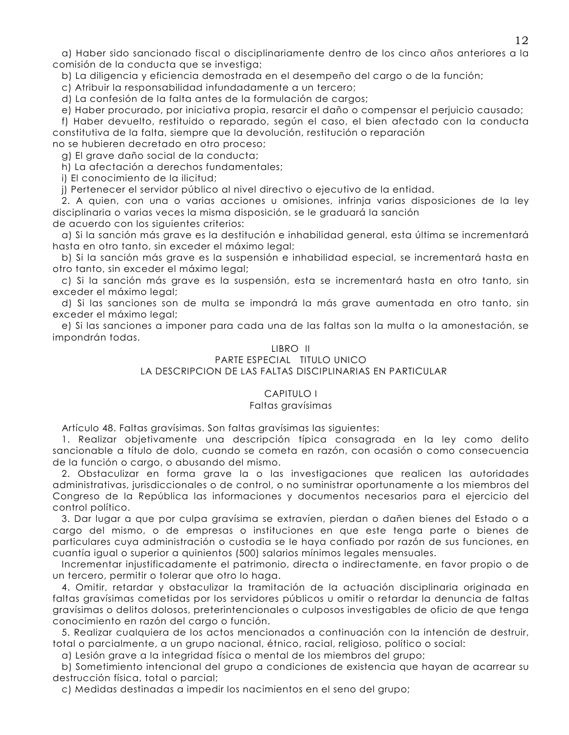g) Haber sido sancionado fiscal o disciplinariamente dentro de los cinco años anteriores a la comisión de la conducta que se investiga;

b) La diligencia y eficiencia demostrada en el desempeño del cargo o de la función;

c) Atribuir la responsabilidad infundadamente a un tercero;

d) La confesión de la falta antes de la formulación de cargos;

e) Haber procurado, por iniciativa propia, resarcir el daño o compensar el perjuicio causado;

f) Haber devuelto, restituido o reparado, según el caso, el bien afectado con la conducta constitutiva de la falta, siempre que la devolución, restitución o reparación

no se hubieren decretado en otro proceso:

g) El grave daño social de la conducta;

h) La afectación a derechos fundamentales;

i) El conocimiento de la ilicitud;

j) Pertenecer el servidor público al nivel directivo o ejecutivo de la entidad.

2. A quien, con una o varias acciones u omisiones, infrinia varias disposiciones de la ley disciplinaria o varias veces la misma disposición, se le graduará la sanción

de acuerdo con los siguientes criterios: a) Si la sanción más grave es la destitución e inhabilidad general, esta última se incrementará

hasta en otro tanto, sin exceder el máximo legal;

b) Si la sanción más grave es la suspensión e inhabilidad especial, se incrementará hasta en otro tanto, sin exceder el máximo legal;

c) Si la sanción más grave es la suspensión, esta se incrementará hasta en otro tanto, sin exceder el máximo legal;

d) Si las sanciones son de multa se impondrá la más grave aumentada en otro tanto, sin exceder el máximo legal;

e) Si las sanciones a imponer para cada una de las faltas son la multa o la amonestación, se impondrán todas.

# LIBRO II

# PARTE ESPECIAL TITULO UNICO

# LA DESCRIPCION DE LAS FALTAS DISCIPLINARIAS EN PARTICULAR

# **CAPITULO I**

## Faltas gravísimas

Artículo 48. Faltas gravísimas. Son faltas gravísimas las siguientes:

1. Realizar objetivamente una descripción típica consagrada en la ley como delito sancionable a título de dolo, cuando se cometa en razón, con ocasión o como consecuencia de la función o cargo, o abusando del mismo.

2. Obstaculizar en forma grave la o las investigaciones que realicen las autoridades administrativas, jurisdiccionales o de control, o no suministrar oportunamente a los miembros del Congreso de la República las informaciones y documentos necesarios para el ejercicio del control político.

3. Dar lugar a que por culpa gravísima se extravíen, pierdan o dañen bienes del Estado o a cargo del mismo, o de empresas o instituciones en que este tenga parte o bienes de particulares cuya administración o custodia se le haya confiado por razón de sus funciones, en cuantía igual o superior a quinientos (500) salarios mínimos legales mensuales.

Incrementar injustificadamente el patrimonio, directa o indirectamente, en favor propio o de un tercero, permitir o tolerar que otro lo haga.

4. Omitir, retardar y obstaculizar la tramitación de la actuación disciplinaria originada en faltas gravísimas cometidas por los servidores públicos u omitir o retardar la denuncia de faltas gravísimas o delitos dolosos, preterintencionales o culposos investigables de oficio de que tenga conocimiento en razón del cargo o función.

5. Realizar cualquiera de los actos mencionados a continuación con la intención de destruir, total o parcialmente, a un grupo nacional, étnico, racial, religioso, político o social:

a) Lesión grave a la integridad física o mental de los miembros del grupo;

b) Sometimiento intencional del grupo a condiciones de existencia que hayan de acarrear su destrucción física, total o parcial;

c) Medidas destinadas a impedir los nacimientos en el seno del grupo;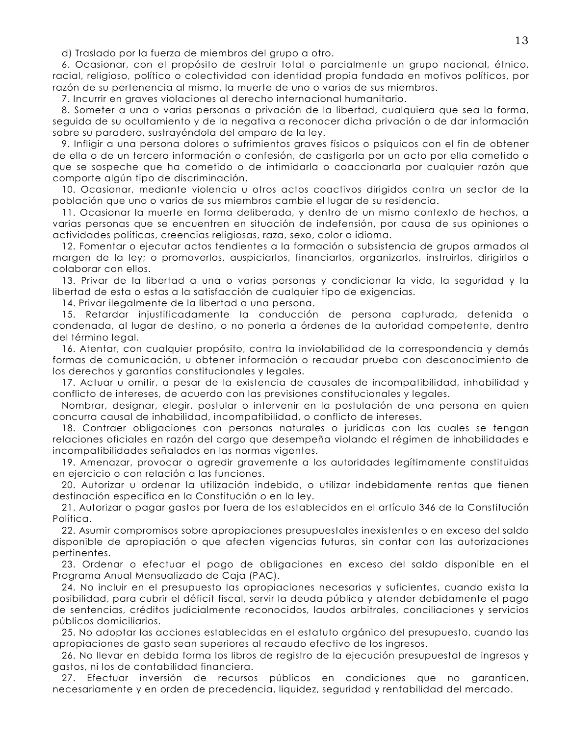d) Traslado por la fuerza de miembros del grupo a otro.

6. Ocasionar, con el propósito de destruir total o parcialmente un grupo nacional, étnico, racial, religioso, político o colectividad con identidad propia fundada en motivos políticos, por razón de su pertenencia al mismo, la muerte de uno o varios de sus miembros.

7. Incurrir en graves violaciones al derecho internacional humanitario.

8. Someter a una o varias personas a privación de la libertad, cualquiera que sea la forma, seguida de su ocultamiento y de la negativa a reconocer dicha privación o de dar información sobre su paradero, sustrayéndola del amparo de la ley.

9. Infligir a una persona dolores o sufrimientos araves físicos o psíquicos con el fin de obtener de ella o de un tercero información o confesión, de castigarla por un acto por ella cometido o que se sospeche que ha cometido o de intimidarla o coaccionarla por cualquier razón que comporte algún tipo de discriminación.

10. Ocasionar, mediante violencia u otros actos coactivos dirigidos contra un sector de la población que uno o varios de sus miembros cambie el lugar de su residencia.

11. Ocasionar la muerte en forma deliberada, y dentro de un mismo contexto de hechos, a varias personas que se encuentren en situación de indefensión, por causa de sus opiniones o actividades políticas, creencias religiosas, raza, sexo, color o idioma.

12. Fomentar o ejecutar actos tendientes a la formación o subsistencia de grupos armados al margen de la ley; o promoverlos, auspiciarlos, financiarlos, organizarlos, instruirlos, dirigirlos o colaborar con ellos.

13. Privar de la libertad a una o varias personas y condicionar la vida, la seguridad y la libertad de esta o estas a la satisfacción de cualquier tipo de exigencias.

14. Privar ilegalmente de la libertad a una persona.

15. Retardar injustificadamente la conducción de persona capturada, detenida o condenada, al lugar de destino, o no ponerla a órdenes de la autoridad competente, dentro del término legal.

16. Atentar, con cualquier propósito, contra la inviolabilidad de la correspondencia y demás formas de comunicación, u obtener información o recaudar prueba con desconocimiento de los derechos y garantías constitucionales y legales.

17. Actuar u omitir, a pesar de la existencia de causales de incompatibilidad, inhabilidad y conflicto de intereses, de acuerdo con las previsiones constitucionales y legales.

Nombrar, designar, elegir, postular o intervenir en la postulación de una persona en quien concurra causal de inhabilidad, incompatibilidad, o conflicto de intereses.

18. Contraer obligaciones con personas naturales o jurídicas con las cuales se tengan relaciones oficiales en razón del cargo que desempeña violando el régimen de inhabilidades e incompatibilidades señalados en las normas vigentes.

19. Amenazar, provocar o agredir gravemente a las autoridades legítimamente constituidas en ejercicio o con relación a las funciones.

20. Autorizar u ordenar la utilización indebida, o utilizar indebidamente rentas que tienen destinación específica en la Constitución o en la ley.

21. Autorizar o pagar gastos por fuera de los establecidos en el artículo 346 de la Constitución Política.

22. Asumir compromisos sobre apropiaciones presupuestales inexistentes o en exceso del saldo disponible de apropiación o que afecten vigencias futuras, sin contar con las autorizaciones pertinentes.

23. Ordenar o efectuar el pago de obligaciones en exceso del saldo disponible en el Programa Anual Mensualizado de Caja (PAC).

24. No incluir en el presupuesto las apropiaciones necesarias y suficientes, cuando exista la posibilidad, para cubrir el déficit fiscal, servir la deuda pública y atender debidamente el pago de sentencias, créditos judicialmente reconocidos, laudos arbitrales, conciliaciones y servicios públicos domiciliarios.

25. No adoptar las acciones establecidas en el estatuto orgánico del presupuesto, cuando las apropiaciones de gasto sean superiores al recaudo efectivo de los ingresos.

26. No llevar en debida forma los libros de registro de la ejecución presupuestal de ingresos y gastos, ni los de contabilidad financiera.

27. Efectuar inversión de recursos públicos en condiciones que no garanticen, necesariamente y en orden de precedencia, liquidez, seguridad y rentabilidad del mercado.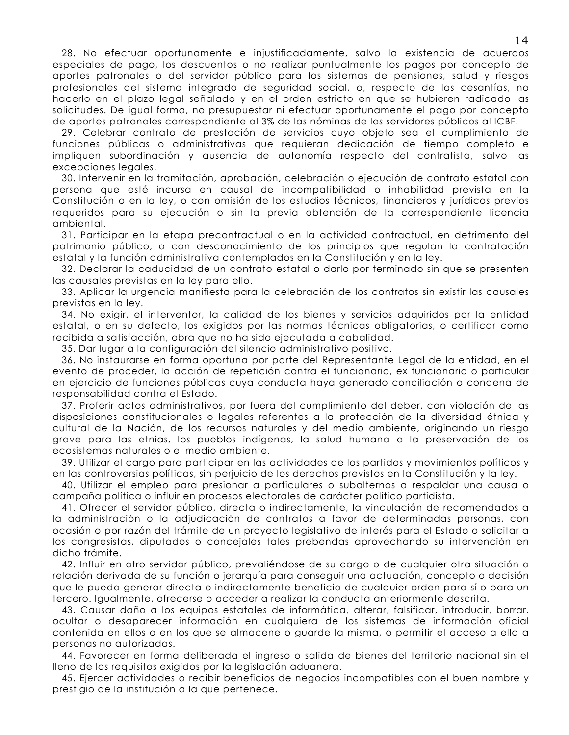28. No efectuar oportunamente e injustificadamente, salvo la existencia de acuerdos especiales de pago, los descuentos o no realizar puntualmente los pagos por concepto de aportes patronales o del servidor público para los sistemas de pensiones, salud y riesgos profesionales del sistema integrado de seguridad social, o, respecto de las cesantías, no hacerlo en el plazo legal señalado y en el orden estricto en que se hubieren radicado las solicitudes. De igual forma, no presupuestar ni efectuar oportunamente el pago por concepto de aportes patronales correspondiente al 3% de las nóminas de los servidores públicos al ICBF.

29. Celebrar contrato de prestación de servicios cuyo objeto sea el cumplimiento de funciones públicas o administrativas que requieran dedicación de tiempo completo e impliquen subordinación y ausencia de autonomía respecto del contratista, salvo las excepciones legales.

30. Intervenir en la tramitación, aprobación, celebración o ejecución de contrato estatal con persona que esté incursa en causal de incompatibilidad o inhabilidad prevista en la Constitución o en la ley, o con omisión de los estudios técnicos, financieros y jurídicos previos requeridos para su ejecución o sin la previa obtención de la correspondiente licencia ambiental.

31. Participar en la etapa precontractual o en la actividad contractual, en detrimento del patrimonio público, o con desconocimiento de los principios que regulan la contratación estatal y la función administrativa contemplados en la Constitución y en la ley.

32. Declarar la caducidad de un contrato estatal o darlo por terminado sin que se presenten las causales previstas en la ley para ello.

33. Aplicar la urgencia manifiesta para la celebración de los contratos sin existir las causales previstas en la ley.

34. No exigir, el interventor, la calidad de los bienes y servicios adquiridos por la entidad estatal, o en su defecto, los exigidos por las normas técnicas obligatorias, o certificar como recibida a satisfacción, obra que no ha sido ejecutada a cabalidad.

35. Dar lugar a la configuración del silencio administrativo positivo.

36. No instaurarse en forma oportuna por parte del Representante Legal de la entidad, en el evento de proceder, la acción de repetición contra el funcionario, ex funcionario o particular en ejercicio de funciones públicas cuya conducta haya generado conciliación o condena de responsabilidad contra el Estado.

37. Proferir actos administrativos, por fuera del cumplimiento del deber, con violación de las disposiciones constitucionales o legales referentes a la protección de la diversidad étnica y cultural de la Nación, de los recursos naturales y del medio ambiente, originando un riesgo grave para las etnias, los pueblos indígenas, la salud humana o la preservación de los ecosistemas naturales o el medio ambiente.

39. Utilizar el cargo para participar en las actividades de los partidos y movimientos políticos y en las controversias políticas, sin perjuicio de los derechos previstos en la Constitución y la ley.

40. Utilizar el empleo para presionar a particulares o subalternos a respaldar una causa o campaña política o influir en procesos electorales de carácter político partidista.

41. Ofrecer el servidor público, directa o indirectamente, la vinculación de recomendados a la administración o la adjudicación de contratos a favor de determinadas personas, con ocasión o por razón del trámite de un proyecto legislativo de interés para el Estado o solicitar a los congresistas, diputados o concejales tales prebendas aprovechando su intervención en dicho trámite.

42. Influir en otro servidor público, prevaliéndose de su cargo o de cualquier otra situación o relación derivada de su función o jerarquía para conseguir una actuación, concepto o decisión que le pueda generar directa o indirectamente beneficio de cualquier orden para sí o para un tercero. Igualmente, ofrecerse o acceder a realizar la conducta anteriormente descrita.

43. Causar daño a los equipos estatales de informática, alterar, falsificar, introducir, borrar, ocultar o desaparecer información en cualquiera de los sistemas de información oficial contenida en ellos o en los que se almacene o guarde la misma, o permitir el acceso a ella a personas no autorizadas.

44. Favorecer en forma deliberada el ingreso o salida de bienes del territorio nacional sin el lleno de los requisitos exigidos por la legislación aduanera.

45. Ejercer actividades o recibir beneficios de negocios incompatibles con el buen nombre y prestigio de la institución a la que pertenece.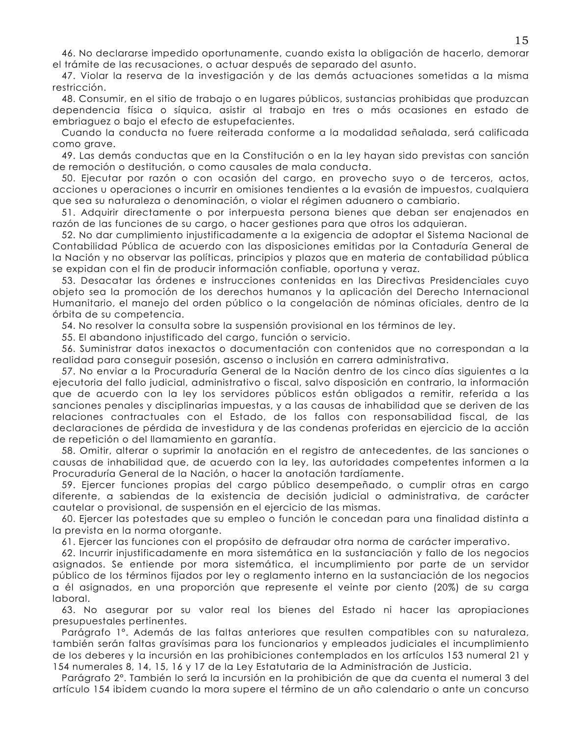46. No declararse impedido oportunamente, cuando exista la obligación de hacerlo, demorar el trámite de las recusaciones, o actuar después de separado del asunto.

47. Violar la reserva de la investigación y de las demás actuaciones sometidas a la misma restricción.

48. Consumir, en el sitio de trabajo o en lugares públicos, sustancias prohibidas que produzcan dependencia física o síquica, asistir al trabajo en tres o más ocasiones en estado de embriaguez o bajo el efecto de estupefacientes.

Cuando la conducta no fuere reiterada conforme a la modalidad señalada, será calificada como arave.

49. Las demás conductas que en la Constitución o en la ley hayan sido previstas con sanción de remoción o destitución, o como causales de mala conducta.

50. Ejecutar por razón o con ocasión del cargo, en provecho suyo o de terceros, actos, acciones u operaciones o incurrir en omisiones tendientes a la evasión de impuestos, cualquiera que sea su naturaleza o denominación, o violar el régimen aduanero o cambiario.

51. Adquirir directamente o por interpuesta persona bienes que deban ser enajenados en razón de las funciones de su cargo, o hacer gestiones para que otros los adquieran.

52. No dar cumplimiento injustificadamente a la exigencia de adoptar el Sistema Nacional de Contabilidad Pública de acuerdo con las disposiciones emitidas por la Contaduría General de la Nación y no observar las políticas, principios y plazos que en materia de contabilidad pública se expidan con el fin de producir información confiable, oportuna y veraz.

53. Desacatar las órdenes e instrucciones contenidas en las Directivas Presidenciales cuyo objeto sea la promoción de los derechos humanos y la aplicación del Derecho Internacional Humanitario, el manejo del orden público o la congelación de nóminas oficiales, dentro de la órbita de su competencia.

54. No resolver la consulta sobre la suspensión provisional en los términos de ley.

55. El abandono injustificado del cargo, función o servicio.

56. Suministrar datos inexactos o documentación con contenidos que no correspondan a la realidad para conseguir posesión, ascenso o inclusión en carrera administrativa.

57. No enviar a la Procuraduría General de la Nación dentro de los cinco días siguientes a la ejecutoria del fallo judicial, administrativo o fiscal, salvo disposición en contrario, la información que de acuerdo con la ley los servidores públicos están obligados a remitir, referida a las sanciones penales y disciplinarias impuestas, y a las causas de inhabilidad que se deriven de las relaciones contractuales con el Estado, de los fallos con responsabilidad fiscal, de las declaraciones de pérdida de investidura y de las condenas proferidas en ejercicio de la acción de repetición o del llamamiento en garantía.

58. Omitir, alterar o suprimir la anotación en el registro de antecedentes, de las sanciones o causas de inhabilidad que, de acuerdo con la ley, las autoridades competentes informen a la Procuraduría General de la Nación, o hacer la anotación tardíamente.

59. Ejercer funciones propias del cargo público desempeñado, o cumplir otras en cargo diferente, a sabiendas de la existencia de decisión judicial o administrativa, de carácter cautelar o provisional, de suspensión en el ejercicio de las mismas.

60. Ejercer las potestades que su empleo o función le concedan para una finalidad distinta a la prevista en la norma otorgante.

61. Ejercer las funciones con el propósito de defraudar otra norma de carácter imperativo.

62. Incurrir injustificadamente en mora sistemática en la sustanciación y fallo de los negocios asignados. Se entiende por mora sistemática, el incumplimiento por parte de un servidor público de los términos fijados por ley o reglamento interno en la sustanciación de los negocios a él asignados, en una proporción que represente el veinte por ciento (20%) de su carga laboral.

63. No asegurar por su valor real los bienes del Estado ni hacer las apropiaciones presupuestales pertinentes.

Parágrafo 1º. Además de las faltas anteriores que resulten compatibles con su naturaleza, también serán faltas gravísimas para los funcionarios y empleados judiciales el incumplimiento de los deberes y la incursión en las prohibiciones contemplados en los artículos 153 numeral 21 y 154 numerales 8, 14, 15, 16 y 17 de la Ley Estatutaria de la Administración de Justicia.

Parágrafo 2°. También lo será la incursión en la prohibición de que da cuenta el numeral 3 del artículo 154 ibidem cuando la mora supere el término de un año calendario o ante un concurso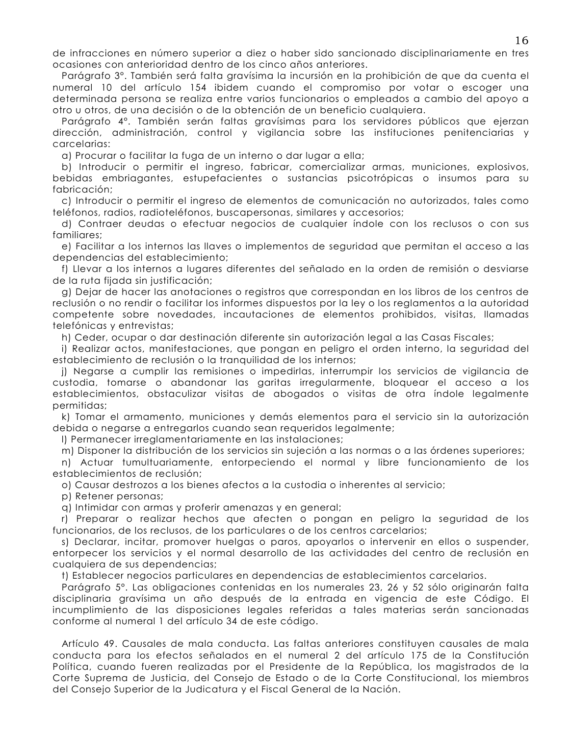de infracciones en número superior a diez o haber sido sancionado disciplinariamente en tres ocasiones con anterioridad dentro de los cinco años anteriores.

Parágrafo 3º. También será falta gravísima la incursión en la prohibición de que da cuenta el numeral 10 del artículo 154 ibidem cuando el compromiso por votar o escoger una determinada persona se realiza entre varios funcionarios o empleados a cambio del apoyo a otro u otros, de una decisión o de la obtención de un beneficio cualquiera.

Parágrafo 4°. También serán faltas gravísimas para los servidores públicos que ejerzan dirección, administración, control y vigilancia sobre las instituciones penitenciarias y carcelarias:

a) Procurar o facilitar la fuga de un interno o dar lugar a ella;

b) Introducir o permitir el ingreso, fabricar, comercializar armas, municiones, explosivos, bebidas embriagantes, estupefacientes o sustancias psicotrópicas o insumos para su fabricación:

c) Introducir o permitir el ingreso de elementos de comunicación no autorizados, tales como teléfonos, radios, radioteléfonos, buscapersonas, similares y accesorios;

d) Contraer deudas o efectuar negocios de cualquier índole con los reclusos o con sus familiares:

e) Facilitar a los internos las llaves o implementos de seguridad que permitan el acceso a las dependencias del establecimiento:

f) Llevar a los internos a lugares diferentes del señalado en la orden de remisión o desviarse de la ruta fijada sin justificación;

g) Dejar de hacer las anotaciones o registros que correspondan en los libros de los centros de reclusión o no rendir o facilitar los informes dispuestos por la ley o los reglamentos a la autoridad competente sobre novedades, incautaciones de elementos prohibidos, visitas, llamadas telefónicas y entrevistas;

h) Ceder, ocupar o dar destinación diferente sin autorización legal a las Casas Fiscales;

i) Realizar actos, manifestaciones, que pongan en peligro el orden interno, la seguridad del establecimiento de reclusión o la tranguilidad de los internos;

j) Negarse a cumplir las remisiones o impedirlas, interrumpir los servicios de vigilancia de custodia, tomarse o abandonar las garitas irregularmente, bloquear el acceso a los establecimientos, obstaculizar visitas de abogados o visitas de otra índole legalmente permitidas:

k) Tomar el armamento, municiones y demás elementos para el servicio sin la autorización debida o negarse a entregarlos cuando sean requeridos legalmente;

I) Permanecer irreglamentariamente en las instalaciones;

m) Disponer la distribución de los servicios sin sujeción a las normas o a las órdenes superiores;

n) Actuar tumultuariamente, entorpeciendo el normal y libre funcionamiento de los establecimientos de reclusión:

o) Causar destrozos a los bienes afectos a la custodia o inherentes al servicio;

p) Retener personas:

q) Intimidar con armas y proferir amenazas y en general;

r) Preparar o realizar hechos que afecten o pongan en peligro la seguridad de los funcionarios, de los reclusos, de los particulares o de los centros carcelarios;

s) Declarar, incitar, promover huelgas o paros, apoyarlos o intervenir en ellos o suspender, entorpecer los servicios y el normal desarrollo de las actividades del centro de reclusión en cualquiera de sus dependencias;

t) Establecer negocios particulares en dependencias de establecimientos carcelarios.

Parágrafo 5°. Las obligaciones contenidas en los numerales 23, 26 y 52 sólo originarán falta disciplinaria gravísima un año después de la entrada en vigencia de este Código. El incumplimiento de las disposiciones legales referidas a tales materias serán sancionadas conforme al numeral 1 del artículo 34 de este código.

Artículo 49. Causales de mala conducta. Las faltas anteriores constituyen causales de mala conducta para los efectos señalados en el numeral 2 del artículo 175 de la Constitución Política, cuando fueren realizadas por el Presidente de la República, los magistrados de la Corte Suprema de Justicia, del Consejo de Estado o de la Corte Constitucional, los miembros del Consejo Superior de la Judicatura y el Fiscal General de la Nación.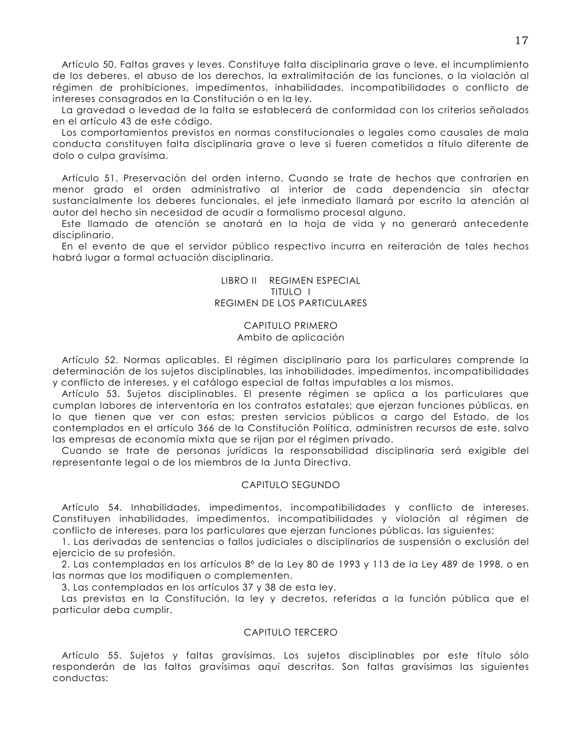Artículo 50. Faltas graves y leves. Constituye falta disciplinaria grave o leve, el incumplimiento de los deberes, el abuso de los derechos, la extralimitación de las funciones, o la violación al régimen de prohibiciones, impedimentos, inhabilidades, incompatibilidades o conflicto de intereses consagrados en la Constitución o en la ley.

La gravedad o levedad de la falta se establecerá de conformidad con los criterios señalados en el artículo 43 de este código.

Los comportamientos previstos en normas constitucionales o legales como causales de mala conducta constituyen falta disciplinaria grave o leve si fueren cometidos a título diferente de dolo o culpa gravísima.

Artículo 51. Preservación del orden interno. Cuando se trate de hechos que contraríen en menor grado el orden administrativo al interior de cada dependencia sin afectar sustancialmente los deberes funcionales, el jefe inmediato llamará por escrito la atención al autor del hecho sin necesidad de acudir a formalismo procesal alguno.

Este llamado de atención se anotará en la hoja de vida y no generará antecedente disciplinario.

En el evento de que el servidor público respectivo incurra en reiteración de tales hechos habrá lugar a formal actuación disciplinaria.

# LIBRO II REGIMEN ESPECIAL TITULO I REGIMEN DE LOS PARTICULARES

## CAPITULO PRIMERO Ambito de aplicación

Artículo 52. Normas aplicables. El régimen disciplinario para los particulares comprende la determinación de los sujetos disciplinables, las inhabilidades, impedimentos, incompatibilidades y conflicto de intereses, y el catálogo especial de faltas imputables a los mismos.

Artículo 53. Sujetos disciplinables. El presente régimen se aplica a los particulares que cumplan labores de interventoría en los contratos estatales; que ejerzan funciones públicas, en lo que tienen que ver con estas; presten servicios públicos a cargo del Estado, de los contemplados en el artículo 366 de la Constitución Política, administren recursos de este, salvo las empresas de economía mixta que se rijan por el régimen privado.

Cuando se trate de personas jurídicas la responsabilidad disciplinaria será exigible del representante legal o de los miembros de la Junta Directiva.

## CAPITULO SEGUNDO

Artículo 54. Inhabilidades, impedimentos, incompatibilidades y conflicto de intereses. Constituyen inhabilidades, impedimentos, incompatibilidades y violación al régimen de conflicto de intereses, para los particulares que ejerzan funciones públicas, las siguientes:

1. Las derivadas de sentencias o fallos judiciales o disciplinarios de suspensión o exclusión del ejercicio de su profesión.

2. Las contempladas en los artículos 8º de la Ley 80 de 1993 y 113 de la Ley 489 de 1998, o en las normas que los modifiquen o complementen.

3. Las contempladas en los artículos 37 y 38 de esta ley.

Las previstas en la Constitución, la ley y decretos, referidas a la función pública que el particular deba cumplir.

## CAPITULO TERCERO

Artículo 55. Sujetos y faltas gravísimas. Los sujetos disciplinables por este título sólo responderán de las faltas gravísimas aquí descritas. Son faltas gravísimas las siguientes conductas: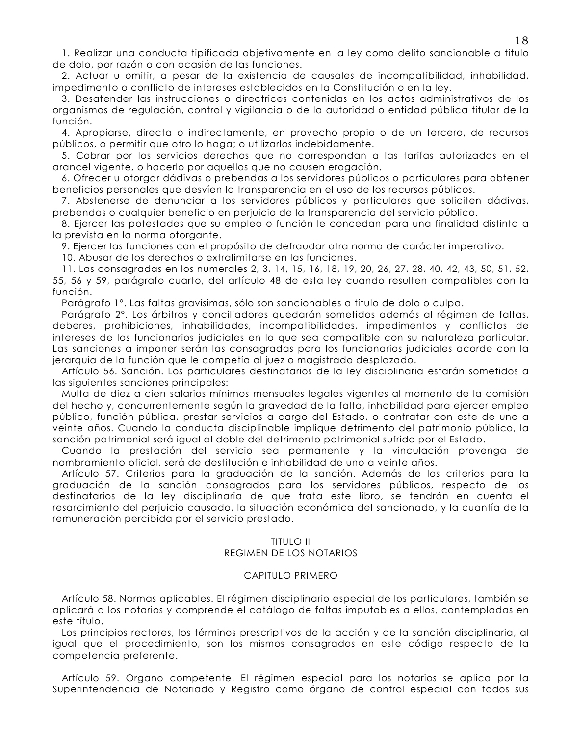1. Realizar una conducta tipificada objetivamente en la ley como delito sancionable a título de dolo, por razón o con ocasión de las funciones.

2. Actuar u omitir, a pesar de la existencia de causales de incompatibilidad, inhabilidad, impedimento o conflicto de intereses establecidos en la Constitución o en la ley.

3. Desatender las instrucciones o directrices contenidas en los actos administrativos de los organismos de regulación, control y vigilancia o de la autoridad o entidad pública titular de la función.

4. Apropiarse, directa o indirectamente, en provecho propio o de un tercero, de recursos públicos, o permitir que otro lo haga; o utilizarlos indebidamente.

5. Cobrar por los servicios derechos que no correspondan a las tarifas autorizadas en el arancel vigente, o hacerlo por aquellos que no causen erogación.

6. Ofrecer u otorgar dádivas o prebendas a los servidores públicos o particulares para obtener beneficios personales que desvíen la transparencia en el uso de los recursos públicos.

7. Abstenerse de denunciar a los servidores públicos y particulares que soliciten dádivas, prebendas o cualquier beneficio en perjuicio de la transparencia del servicio público.

8. Ejercer las potestades que su empleo o función le concedan para una finalidad distinta a la prevista en la norma otorgante.

9. Ejercer las funciones con el propósito de defraudar otra norma de carácter imperativo.

10. Abusar de los derechos o extralimitarse en las funciones.

11. Las consagradas en los numerales 2, 3, 14, 15, 16, 18, 19, 20, 26, 27, 28, 40, 42, 43, 50, 51, 52, 55, 56 y 59, parágrafo cuarto, del artículo 48 de esta ley cuando resulten compatibles con la función.

Parágrafo 1°. Las faltas gravísimas, sólo son sancionables a título de dolo o culpa.

Parágrafo 2°. Los árbitros y conciliadores quedarán sometidos además al régimen de faltas, deberes, prohibiciones, inhabilidades, incompatibilidades, impedimentos y conflictos de intereses de los funcionarios judiciales en lo que sea compatible con su naturaleza particular. Las sanciones a imponer serán las consagradas para los funcionarios judiciales acorde con la jerarquía de la función que le competía al juez o magistrado desplazado.

Artículo 56. Sanción. Los particulares destinatarios de la ley disciplinaria estarán sometidos a las siguientes sanciones principales:

Multa de diez a cien salarios mínimos mensuales legales vigentes al momento de la comisión del hecho y, concurrentemente según la gravedad de la falta, inhabilidad para ejercer empleo público, función pública, prestar servicios a cargo del Estado, o contratar con este de uno a veinte años. Cuando la conducta disciplinable implique detrimento del patrimonio público, la sanción patrimonial será igual al doble del detrimento patrimonial sufrido por el Estado.

Cuando la prestación del servicio sea permanente y la vinculación provenga de nombramiento oficial, será de destitución e inhabilidad de uno a veinte años.

Artículo 57. Criterios para la graduación de la sanción. Además de los criterios para la graduación de la sanción consagrados para los servidores públicos, respecto de los destinatarios de la ley disciplinaria de que trata este libro, se tendrán en cuenta el resarcimiento del perjuicio causado, la situación económica del sancionado, y la cuantía de la remuneración percibida por el servicio prestado.

## TITULO II

#### **REGIMEN DE LOS NOTARIOS**

#### **CAPITULO PRIMERO**

Artículo 58. Normas aplicables. El régimen disciplinario especial de los particulares, también se aplicará a los notarios y comprende el catálogo de faltas imputables a ellos, contempladas en este título.

Los principios rectores, los términos prescriptivos de la acción y de la sanción disciplinaria, al igual que el procedimiento, son los mismos consagrados en este código respecto de la competencia preferente.

Artículo 59. Organo competente. El régimen especial para los notarios se aplica por la Superintendencia de Notariado y Registro como órgano de control especial con todos sus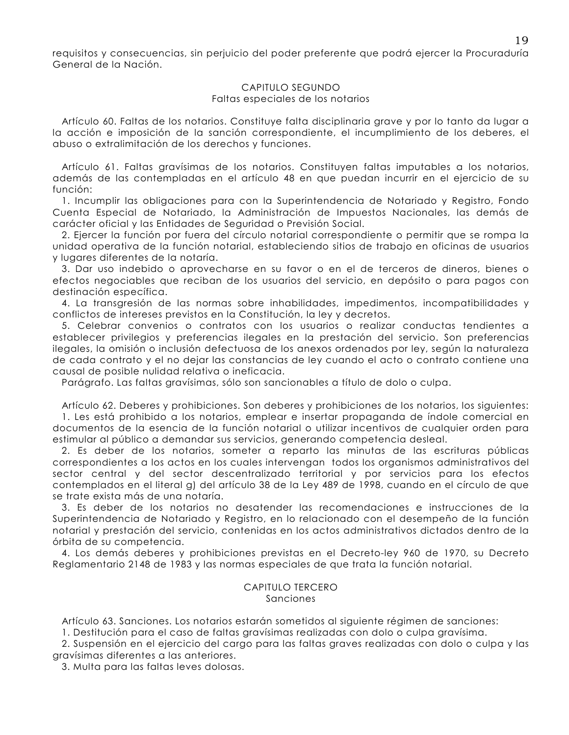requisitos y consecuencias, sin periuicio del poder preferente que podrá ejercer la Procuraduría General de la Nación.

## CAPITULO SEGUNDO Faltas especiales de los notarios

Artículo 60. Faltas de los notarios. Constituye falta disciplinaria grave y por lo tanto da lugar a la acción e imposición de la sanción correspondiente, el incumplimiento de los deberes, el abuso o extralimitación de los derechos y funciones.

Artículo 61. Faltas gravísimas de los notarios. Constituyen faltas imputables a los notarios, además de las contempladas en el artículo 48 en que puedan incurrir en el ejercicio de su función:

1. Incumplir las obligaciones para con la Superintendencia de Notariado y Registro, Fondo Cuenta Especial de Notariado, la Administración de Impuestos Nacionales, las demás de carácter oficial y las Entidades de Seguridad o Previsión Social.

2. Ejercer la función por fuera del círculo notarial correspondiente o permitir que se rompa la unidad operativa de la función notarial, estableciendo sitios de trabajo en oficinas de usuarios y lugares diferentes de la notaría.

3. Dar uso indebido o aprovecharse en su favor o en el de terceros de dineros, bienes o efectos negociables que reciban de los usuarios del servicio, en depósito o para pagos con destinación específica.

4. La transgresión de las normas sobre inhabilidades, impedimentos, incompatibilidades y conflictos de intereses previstos en la Constitución, la ley y decretos.

5. Celebrar convenios o contratos con los usuarios o realizar conductas tendientes a establecer privilegios y preferencias ilegales en la prestación del servicio. Son preferencias ilegales, la omisión o inclusión defectuosa de los anexos ordenados por ley, según la naturaleza de cada contrato y el no dejar las constancias de ley cuando el acto o contrato contiene una causal de posible nulidad relativa o ineficacia.

Parágrafo. Las faltas gravísimas, sólo son sancionables a título de dolo o culpa.

Artículo 62. Deberes y prohibiciones. Son deberes y prohibiciones de los notarios, los siguientes: 1. Les está prohibido a los notarios, emplear e insertar propaganda de índole comercial en documentos de la esencia de la función notarial o utilizar incentivos de cualquier orden para estimular al público a demandar sus servicios, generando competencia desleal.

2. Es deber de los notarios, someter a reparto las minutas de las escrituras públicas correspondientes a los actos en los cuales intervengan todos los organismos administrativos del sector central y del sector descentralizado territorial y por servicios para los efectos contemplados en el literal g) del artículo 38 de la Ley 489 de 1998, cuando en el círculo de que se trate exista más de una notaría.

3. Es deber de los notarios no desatender las recomendaciones e instrucciones de la Superintendencia de Notariado y Registro, en lo relacionado con el desempeño de la función notarial y prestación del servicio, contenidas en los actos administrativos dictados dentro de la órbita de su competencia.

4. Los demás deberes y prohibiciones previstas en el Decreto-ley 960 de 1970, su Decreto Reglamentario 2148 de 1983 y las normas especiales de que trata la función notarial.

# CAPITULO TERCERO Sanciones

Artículo 63. Sanciones. Los notarios estarán sometidos al siguiente régimen de sanciones:

1. Destitución para el caso de faltas gravísimas realizadas con dolo o culpa gravísima.

2. Suspensión en el ejercicio del cargo para las faltas graves realizadas con dolo o culpa y las gravísimas diferentes a las anteriores.

3. Multa para las faltas leves dolosas.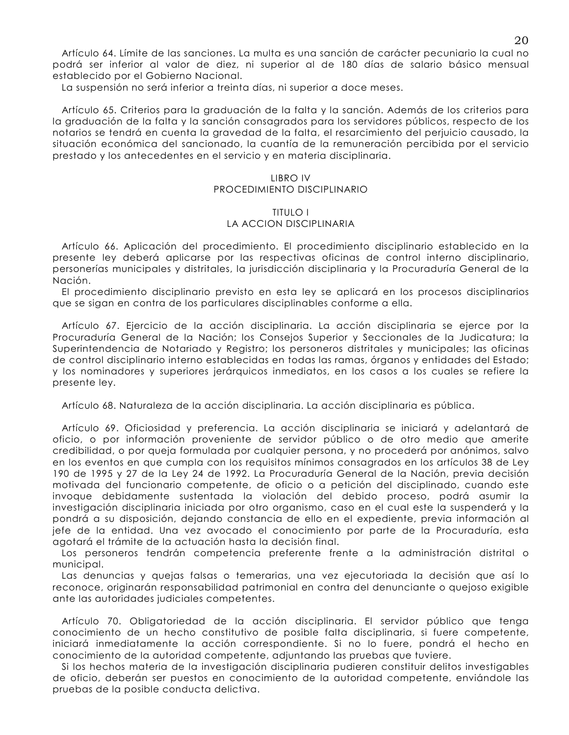Artículo 64, Límite de las sanciones. La multa es una sanción de carácter pecuniario la cual no podrá ser inferior al valor de diez, ni superior al de 180 días de salario básico mensual establecido por el Gobierno Nacional.

La suspensión no será inferior a treinta días, ni superior a doce meses.

Artículo 65. Criterios para la graduación de la falta y la sanción. Además de los criterios para la graduación de la falta y la sanción consagrados para los servidores públicos, respecto de los notarios se tendrá en cuenta la gravedad de la falta, el resarcimiento del perjuicio causado, la situación económica del sancionado, la cuantía de la remuneración percibida por el servicio prestado y los antecedentes en el servicio y en materia disciplinaria.

#### **LIBRO IV**

## PROCEDIMIENTO DISCIPLINARIO

#### **TITULO I** LA ACCION DISCIPLINARIA

Artículo 66. Aplicación del procedimiento. El procedimiento disciplinario establecido en la presente ley deberá aplicarse por las respectivas oficinas de control interno disciplinario, personerías municipales y distritales, la jurisdicción disciplinaria y la Procuraduría General de la Nación.

El procedimiento disciplinario previsto en esta ley se aplicará en los procesos disciplinarios que se sigan en contra de los particulares disciplinables conforme a ella.

Artículo 67. Ejercicio de la acción disciplinaria. La acción disciplinaria se ejerce por la Procuraduría General de la Nación; los Consejos Superior y Seccionales de la Judicatura; la Superintendencia de Notariado y Registro; los personeros distritales y municipales; las oficinas de control disciplinario interno establecidas en todas las ramas, órganos y entidades del Estado; y los nominadores y superiores jerárquicos inmediatos, en los casos a los cuales se refiere la presente ley.

Artículo 68. Naturaleza de la acción disciplinaria. La acción disciplinaria es pública.

Artículo 69. Oficiosidad y preferencia. La acción disciplinaria se iniciará y adelantará de oficio, o por información proveniente de servidor público o de otro medio que amerite credibilidad, o por queja formulada por cualquier persona, y no procederá por anónimos, salvo en los eventos en que cumpla con los requisitos mínimos consagrados en los artículos 38 de Ley 190 de 1995 y 27 de la Ley 24 de 1992. La Procuraduría General de la Nación, previa decisión motivada del funcionario competente, de oficio o a petición del disciplinado, cuando este invoque debidamente sustentada la violación del debido proceso, podrá asumir la investigación disciplinaria iniciada por otro organismo, caso en el cual este la suspenderá y la pondrá a su disposición, dejando constancia de ello en el expediente, previa información al jefe de la entidad. Una vez avocado el conocimiento por parte de la Procuraduría, esta agotará el trámite de la actuación hasta la decisión final.

Los personeros tendrán competencia preferente frente a la administración distrital o municipal.

Las denuncias y quejas falsas o temerarias, una vez ejecutoriada la decisión que así lo reconoce, originarán responsabilidad patrimonial en contra del denunciante o quejoso exigible ante las autoridades judiciales competentes.

Artículo 70. Obligatoriedad de la acción disciplinaria. El servidor público que tenga conocimiento de un hecho constitutivo de posible falta disciplinaria, si fuere competente, iniciará inmediatamente la acción correspondiente. Si no lo fuere, pondrá el hecho en conocimiento de la autoridad competente, adjuntando las pruebas que tuviere.

Si los hechos materia de la investigación disciplinaria pudieren constituir delitos investigables de oficio, deberán ser puestos en conocimiento de la autoridad competente, enviándole las pruebas de la posible conducta delictiva.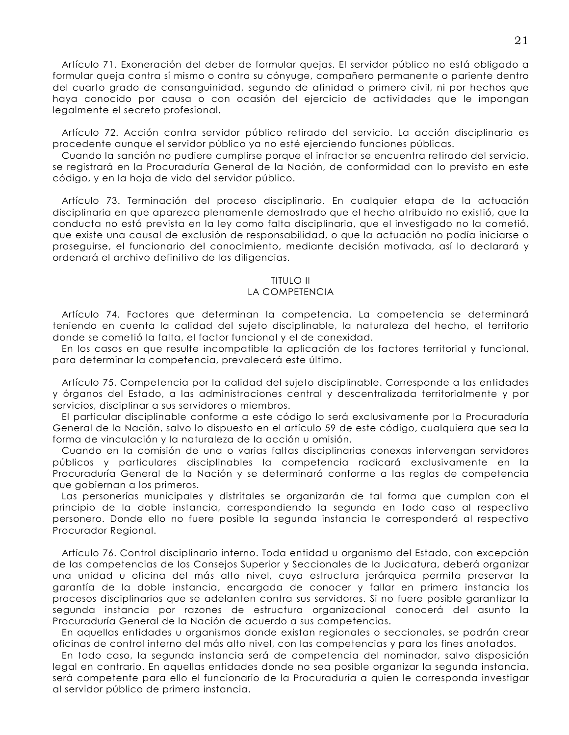Artículo 71. Exoneración del deber de formular quejas. El servidor público no está obligado a formular queja contra sí mismo o contra su cónyuge, compañero permanente o pariente dentro del cuarto grado de consanguinidad, segundo de afinidad o primero civil, ni por hechos que haya conocido por causa o con ocasión del ejercicio de actividades que le impongan legalmente el secreto profesional.

Artículo 72. Acción contra servidor público retirado del servicio. La acción disciplinaria es procedente aunaue el servidor público va no esté ejerciendo funciones públicas.

Cuando la sanción no pudiere cumplirse porque el infractor se encuentra retirado del servicio, se registrará en la Procuraduría General de la Nación, de conformidad con lo previsto en este código, y en la hoja de vida del servidor público.

Artículo 73. Terminación del proceso disciplinario. En cualquier etapa de la actuación disciplinaria en que aparezca plenamente demostrado que el hecho atribuido no existió, que la conducta no está prevista en la ley como falta disciplinaria, que el investigado no la cometió, que existe una causal de exclusión de responsabilidad, o que la actuación no podía iniciarse o proseguirse, el funcionario del conocimiento, mediante decisión motivada, así lo declarará y ordenará el archivo definitivo de las diligencias.

## **TITULO II**

#### LA COMPETENCIA

Artículo 74. Factores que determinan la competencia. La competencia se determinará teniendo en cuenta la calidad del sujeto disciplinable, la naturaleza del hecho, el territorio donde se cometió la falta, el factor funcional y el de conexidad.

En los casos en que resulte incompatible la aplicación de los factores territorial y funcional, para determinar la competencia, prevalecerá este último.

Artículo 75. Competencia por la calidad del sujeto disciplinable. Corresponde a las entidades y órganos del Estado, a las administraciones central y descentralizada territorialmente y por servicios, disciplinar a sus servidores o miembros.

El particular disciplinable conforme a este código lo será exclusivamente por la Procuraduría General de la Nación, salvo lo dispuesto en el artículo 59 de este código, cualquiera que sea la forma de vinculación y la naturaleza de la acción u omisión.

Cuando en la comisión de una o varias faltas disciplinarias conexas intervengan servidores públicos y particulares disciplinables la competencia radicará exclusivamente en la Procuraduría General de la Nación y se determinará conforme a las reglas de competencia que gobiernan a los primeros.

Las personerías municipales y distritales se organizarán de tal forma que cumplan con el principio de la doble instancia, correspondiendo la segunda en todo caso al respectivo personero. Donde ello no fuere posible la segunda instancia le corresponderá al respectivo Procurador Regional.

Artículo 76. Control disciplinario interno. Toda entidad u organismo del Estado, con excepción de las competencias de los Consejos Superior y Seccionales de la Judicatura, deberá organizar una unidad u oficina del más alto nivel, cuya estructura jerárquica permita preservar la garantía de la doble instancia, encargada de conocer y fallar en primera instancia los procesos disciplinarios que se adelanten contra sus servidores. Si no fuere posible garantizar la segunda instancia por razones de estructura organizacional conocerá del asunto la Procuraduría General de la Nación de acuerdo a sus competencias.

En aquellas entidades u organismos donde existan regionales o seccionales, se podrán crear oficinas de control interno del más alto nivel, con las competencias y para los fines anotados.

En todo caso, la segunda instancia será de competencia del nominador, salvo disposición legal en contrario. En aquellas entidades donde no sea posible organizar la segunda instancia, será competente para ello el funcionario de la Procuraduría a quien le corresponda investigar al servidor público de primera instancia.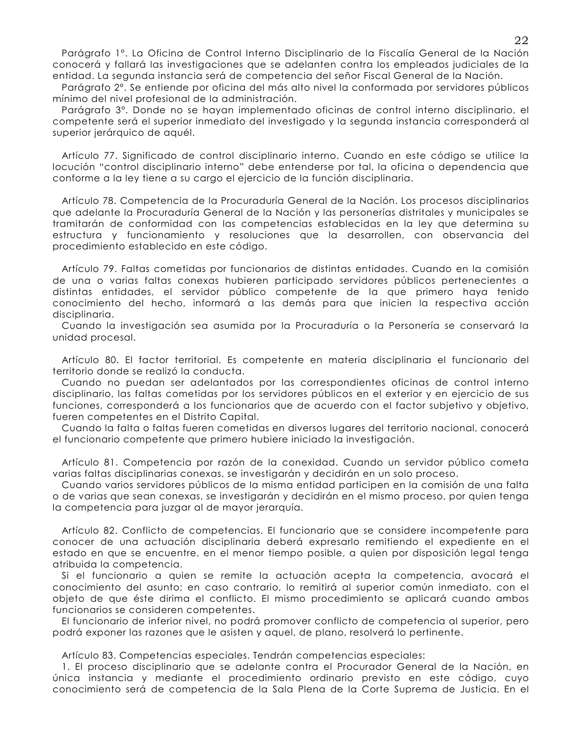Parágrafo 1º. La Oficina de Control Interno Disciplinario de la Fiscalía General de la Nación conocerá y fallará las investigaciones que se adelanten contra los empleados judiciales de la entidad. La segunda instancia será de competencia del señor Fiscal General de la Nación.

Parágrafo 2°. Se entiende por oficina del más alto nivel la conformada por servidores públicos mínimo del nivel profesional de la administración.

Parágrafo 3º. Donde no se hayan implementado oficinas de control interno disciplinario, el competente será el superior inmediato del investigado y la segunda instancia corresponderá al superior jerárquico de aquél.

Artículo 77. Significado de control disciplinario interno. Cuando en este código se utilice la locución "control disciplinario interno" debe entenderse por tal, la oficina o dependencia que conforme a la ley tiene a su cargo el ejercicio de la función disciplinaria.

Artículo 78. Competencia de la Procuraduría General de la Nación. Los procesos disciplinarios que adelante la Procuraduría General de la Nación y las personerías distritales y municipales se tramitarán de conformidad con las competencias establecidas en la ley que determina su estructura y funcionamiento y resoluciones que la desarrollen, con observancia del procedimiento establecido en este código.

Artículo 79. Faltas cometidas por funcionarios de distintas entidades. Cuando en la comisión de una o varias faltas conexas hubieren participado servidores públicos pertenecientes a distintas entidades, el servidor público competente de la que primero haya tenido conocimiento del hecho, informará a las demás para que inicien la respectiva acción disciplinaria.

Cuando la investigación sea asumida por la Procuraduría o la Personería se conservará la unidad procesal.

Artículo 80. El factor territorial. Es competente en materia disciplinaria el funcionario del territorio donde se realizó la conducta.

Cuando no puedan ser adelantados por las correspondientes oficinas de control interno disciplinario, las faltas cometidas por los servidores públicos en el exterior y en ejercicio de sus funciones, corresponderá a los funcionarios que de acuerdo con el factor subjetivo y objetivo, fueren competentes en el Distrito Capital.

Cuando la falta o faltas fueren cometidas en diversos lugares del territorio nacional, conocerá el funcionario competente que primero hubiere iniciado la investigación.

Artículo 81. Competencia por razón de la conexidad. Cuando un servidor público cometa varias faltas disciplinarias conexas, se investigarán y decidirán en un solo proceso.

Cuando varios servidores públicos de la misma entidad participen en la comisión de una falta o de varias que sean conexas, se investigarán y decidirán en el mismo proceso, por quien tenga la competencia para juzgar al de mayor jerarquía.

Artículo 82. Conflicto de competencias. El funcionario que se considere incompetente para conocer de una actuación disciplinaria deberá expresarlo remitiendo el expediente en el estado en que se encuentre, en el menor tiempo posible, a quien por disposición legal tenga atribuida la competencia.

Si el funcionario a quien se remite la actuación acepta la competencia, avocará el conocimiento del asunto; en caso contrario, lo remitirá al superior común inmediato, con el objeto de que éste dirima el conflicto. El mismo procedimiento se aplicará cuando ambos funcionarios se consideren competentes.

El funcionario de inferior nivel, no podrá promover conflicto de competencia al superior, pero podrá exponer las razones que le asisten y aquel, de plano, resolverá lo pertinente.

Artículo 83. Competencias especiales. Tendrán competencias especiales:

1. El proceso disciplinario que se adelante contra el Procurador General de la Nación, en única instancia y mediante el procedimiento ordinario previsto en este código, cuyo conocimiento será de competencia de la Sala Plena de la Corte Suprema de Justicia. En el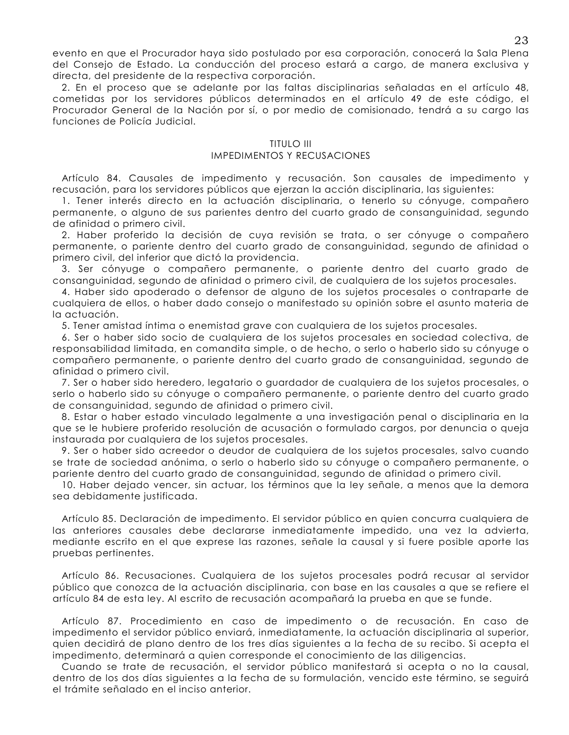evento en que el Procurador haya sido postulado por esa corporación, conocerá la Sala Plena del Consejo de Estado. La conducción del proceso estará a cargo, de manera exclusiva y directa, del presidente de la respectiva corporación.

2. En el proceso que se adelante por las faltas disciplinarias señaladas en el artículo 48, cometidas por los servidores públicos determinados en el artículo 49 de este código, el Procurador General de la Nación por sí, o por medio de comisionado, tendrá a su cargo las funciones de Policía Judicial.

#### **TITULO III**

## **IMPEDIMENTOS Y RECUSACIONES**

Artículo 84. Causales de impedimento y recusación. Son causales de impedimento y recusación, para los servidores públicos que ejerzan la acción disciplinaria, las siguientes:

1. Tener interés directo en la actuación disciplinaria, o tenerlo su cónyuge, compañero permanente, o alguno de sus parientes dentro del cuarto grado de consanguinidad, segundo de afinidad o primero civil.

2. Haber proferido la decisión de cuya revisión se trata, o ser cónyuge o compañero permanente, o pariente dentro del cuarto grado de consanguinidad, segundo de afinidad o primero civil, del inferior que dictó la providencia.

3. Ser cónyuge o compañero permanente, o pariente dentro del cuarto grado de consanguinidad, segundo de afinidad o primero civil, de cualquiera de los sujetos procesales.

4. Haber sido apoderado o defensor de alguno de los sujetos procesales o contraparte de cualquiera de ellos, o haber dado consejo o manifestado su opinión sobre el asunto materia de la actuación.

5. Tener amistad íntima o enemistad grave con cualquiera de los sujetos procesales.

6. Ser o haber sido socio de cualquiera de los sujetos procesales en sociedad colectiva, de responsabilidad limitada, en comandita simple, o de hecho, o serlo o haberlo sido su cónyuge o compañero permanente, o pariente dentro del cuarto grado de consanguinidad, segundo de afinidad o primero civil.

7. Ser o haber sido heredero, legatario o guardador de cualquiera de los sujetos procesales, o serlo o haberlo sido su cónyuge o compañero permanente, o pariente dentro del cuarto grado de consanguinidad, segundo de afinidad o primero civil.

8. Estar o haber estado vinculado legalmente a una investigación penal o disciplinaria en la que se le hubiere proferido resolución de acusación o formulado cargos, por denuncia o queja instaurada por cualquiera de los sujetos procesales.

9. Ser o haber sido acreedor o deudor de cualquiera de los sujetos procesales, salvo cuando se trate de sociedad anónima, o serlo o haberlo sido su cónyuge o compañero permanente, o pariente dentro del cuarto grado de consanguinidad, segundo de afinidad o primero civil.

10. Haber dejado vencer, sin actuar, los términos que la ley señale, a menos que la demora sea debidamente iustificada.

Artículo 85. Declaración de impedimento. El servidor público en quien concurra cualquiera de las anteriores causales debe declararse inmediatamente impedido, una vez la advierta, mediante escrito en el que exprese las razones, señale la causal y si fuere posible aporte las pruebas pertinentes.

Artículo 86. Recusaciones. Cualquiera de los sujetos procesales podrá recusar al servidor público que conozca de la actuación disciplinaria, con base en las causales a que se refiere el artículo 84 de esta ley. Al escrito de recusación acompañará la prueba en que se funde.

Artículo 87. Procedimiento en caso de impedimento o de recusación. En caso de impedimento el servidor público enviará, inmediatamente, la actuación disciplinaria al superior, quien decidirá de plano dentro de los tres días siguientes a la fecha de su recibo. Si acepta el impedimento, determinará a quien corresponde el conocimiento de las diligencias.

Cuando se trate de recusación, el servidor público manifestará si acepta o no la causal, dentro de los dos días siguientes a la fecha de su formulación, vencido este término, se seguirá el trámite señalado en el inciso anterior.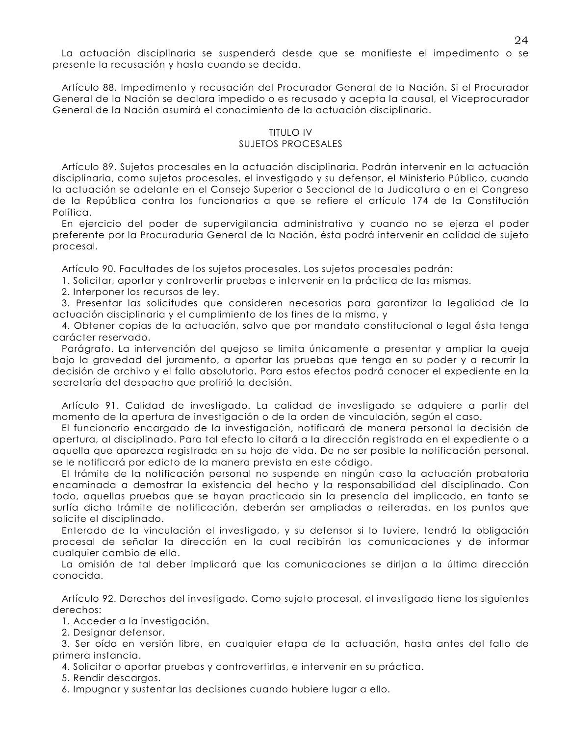La actuación disciplinaria se suspenderá desde que se manifieste el impedimento o se presente la recusación y hasta cuando se decida.

Artículo 88. Impedimento y recusación del Procurador General de la Nación. Si el Procurador General de la Nación se declara impedido o es recusado y acepta la causal, el Viceprocurador General de la Nación asumirá el conocimiento de la actuación disciplinaria.

## **TITULO IV SUJETOS PROCESALES**

Artículo 89. Sujetos procesales en la actuación disciplinaria. Podrán intervenir en la actuación disciplinaria, como sujetos procesales, el investigado y su defensor, el Ministerio Público, cuando la actuación se adelante en el Consejo Superior o Seccional de la Judicatura o en el Congreso de la República contra los funcionarios a que se refiere el artículo 174 de la Constitución Política.

En ejercicio del poder de supervigilancia administrativa y cuando no se ejerza el poder preferente por la Procuraduría General de la Nación, ésta podrá intervenir en calidad de sujeto procesal.

Artículo 90. Facultades de los sujetos procesales. Los sujetos procesales podrán:

1. Solicitar, aportar y controvertir pruebas e intervenir en la práctica de las mismas.

2. Interponer los recursos de ley.

3. Presentar las solicitudes que consideren necesarias para garantizar la legalidad de la actuación disciplinaria y el cumplimiento de los fines de la misma, y

4. Obtener copias de la actuación, salvo que por mandato constitucional o legal ésta tenga carácter reservado.

Parágrafo. La intervención del quejoso se limita únicamente a presentar y ampliar la queja bajo la gravedad del juramento, a aportar las pruebas que tenga en su poder y a recurrir la decisión de archivo y el fallo absolutorio. Para estos efectos podrá conocer el expediente en la secretaría del despacho que profirió la decisión.

Artículo 91. Calidad de investigado. La calidad de investigado se adquiere a partir del momento de la apertura de investigación o de la orden de vinculación, según el caso.

El funcionario encargado de la investigación, notificará de manera personal la decisión de apertura, al disciplinado. Para tal efecto lo citará a la dirección registrada en el expediente o a aquella que aparezca registrada en su hoja de vida. De no ser posible la notificación personal, se le notificará por edicto de la manera prevista en este código.

El trámite de la notificación personal no suspende en ningún caso la actuación probatoria encaminada a demostrar la existencia del hecho y la responsabilidad del disciplinado. Con todo, aquellas pruebas que se hayan practicado sin la presencia del implicado, en tanto se surtía dicho trámite de notificación, deberán ser ampliadas o reiteradas, en los puntos que solicite el disciplinado.

Enterado de la vinculación el investigado, y su defensor si lo tuviere, tendrá la obligación procesal de señalar la dirección en la cual recibirán las comunicaciones y de informar cualquier cambio de ella.

La omisión de tal deber implicará que las comunicaciones se dirijan a la última dirección conocida.

Artículo 92. Derechos del investigado. Como sujeto procesal, el investigado tiene los siguientes derechos:

1. Acceder a la investigación.

2. Designar defensor.

3. Ser oído en versión libre, en cualquier etapa de la actuación, hasta antes del fallo de primera instancia.

4. Solicitar o aportar pruebas y controvertirlas, e intervenir en su práctica.

5. Rendir descargos.

6. Impugnar y sustentar las decisiones cuando hubiere lugar a ello.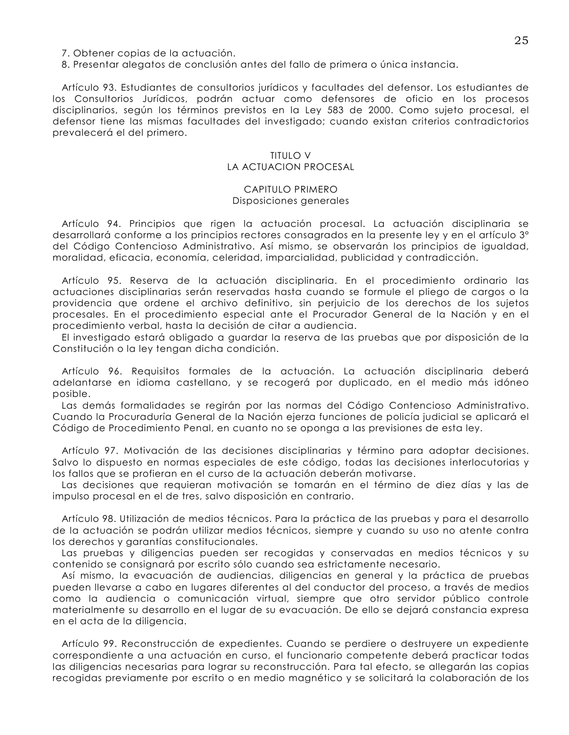- 7. Obtener copias de la actuación.
- 8. Presentar alegatos de conclusión antes del fallo de primera o única instancia.

Artículo 93. Estudiantes de consultorios jurídicos y facultades del defensor. Los estudiantes de los Consultorios Jurídicos, podrán actuar como defensores de oficio en los procesos disciplinarios, según los términos previstos en la Ley 583 de 2000. Como sujeto procesal, el defensor tiene las mismas facultades del investigado; cuando existan criterios contradictorios prevalecerá el del primero.

#### TITUI O V LA ACTUACION PROCESAL

#### CAPITULO PRIMERO Disposiciones generales

Artículo 94. Principios que rigen la actuación procesal. La actuación disciplinaria se desarrollará conforme a los principios rectores consagrados en la presente ley y en el artículo 3° del Código Contencioso Administrativo. Así mismo, se observarán los principios de igualdad, moralidad, eficacia, economía, celeridad, imparcialidad, publicidad y contradicción.

Artículo 95. Reserva de la actuación disciplinaria. En el procedimiento ordinario las actuaciones disciplinarias serán reservadas hasta cuando se formule el pliego de cargos o la providencia que ordene el archivo definitivo, sin periuicio de los derechos de los sujetos procesales. En el procedimiento especial ante el Procurador General de la Nación y en el procedimiento verbal, hasta la decisión de citar a audiencia.

El investigado estará obligado a guardar la reserva de las pruebas que por disposición de la Constitución o la ley tengan dicha condición.

Artículo 96. Requisitos formales de la actuación. La actuación disciplinaria deberá adelantarse en idioma castellano, y se recogerá por duplicado, en el medio más idóneo posible.

Las demás formalidades se regirán por las normas del Código Contencioso Administrativo. Cuando la Procuraduría General de la Nación ejerza funciones de policía judicial se aplicará el Código de Procedimiento Penal, en cuanto no se oponga a las previsiones de esta ley.

Artículo 97. Motivación de las decisiones disciplinarias y término para adoptar decisiones. Salvo lo dispuesto en normas especiales de este código, todas las decisiones interlocutorias y los fallos que se profieran en el curso de la actuación deberán motivarse.

Las decisiones que requieran motivación se tomarán en el término de diez días y las de impulso procesal en el de tres, salvo disposición en contrario.

Artículo 98. Utilización de medios técnicos. Para la práctica de las pruebas y para el desarrollo de la actuación se podrán utilizar medios técnicos, siempre y cuando su uso no atente contra los derechos y garantías constitucionales.

Las pruebas y diligencias pueden ser recogidas y conservadas en medios técnicos y su contenido se consignará por escrito sólo cuando sea estrictamente necesario.

Así mismo, la evacuación de audiencias, diligencias en general y la práctica de pruebas pueden llevarse a cabo en lugares diferentes al del conductor del proceso, a través de medios como la audiencia o comunicación virtual, siempre que otro servidor público controle materialmente su desarrollo en el lugar de su evacuación. De ello se dejará constancia expresa en el acta de la diligencia.

Artículo 99. Reconstrucción de expedientes. Cuando se perdiere o destruyere un expediente correspondiente a una actuación en curso, el funcionario competente deberá practicar todas las diligencias necesarias para lograr su reconstrucción. Para tal efecto, se allegarán las copias recogidas previamente por escrito o en medio magnético y se solicitará la colaboración de los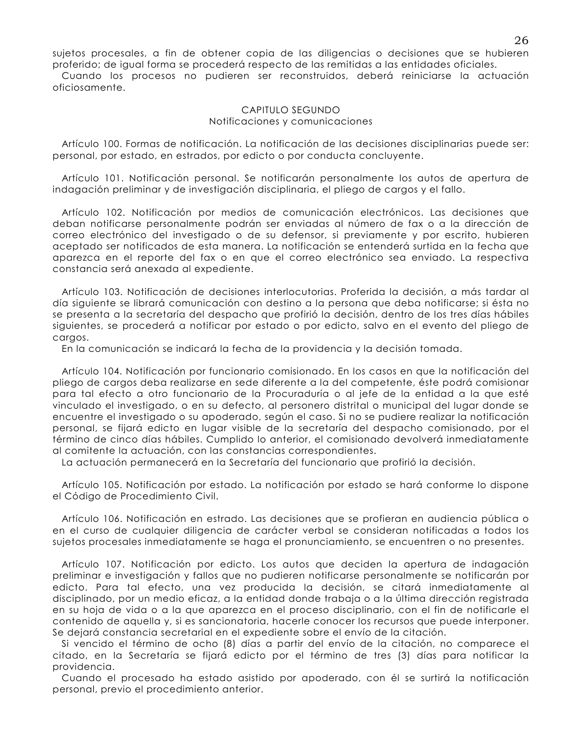sujetos procesales, a fin de obtener copia de las diligencias o decisiones que se hubieren proferido; de igual forma se procederá respecto de las remitidas a las entidades oficiales.

Cuando los procesos no pudieren ser reconstruidos, deberá reiniciarse la actuación oficiosamente.

#### CAPITULO SEGUNDO Notificaciones y comunicaciones

Artículo 100. Formas de notificación. La notificación de las decisiones disciplinarias puede ser: personal, por estado, en estrados, por edicto o por conducta concluyente.

Artículo 101. Notificación personal. Se notificarán personalmente los autos de apertura de indagación preliminar y de investigación disciplinaria, el pliego de cargos y el fallo.

Artículo 102. Notificación por medios de comunicación electrónicos. Las decisiones que deban notificarse personalmente podrán ser enviadas al número de fax o a la dirección de correo electrónico del investigado o de su defensor, si previamente y por escrito, hubieren aceptado ser notificados de esta manera. La notificación se entenderá surtida en la fecha que aparezca en el reporte del fax o en que el correo electrónico sea enviado. La respectiva constancia será anexada al expediente.

Artículo 103. Notificación de decisiones interlocutorias. Proferida la decisión, a más tardar al día siguiente se librará comunicación con destino a la persona que deba notificarse; si ésta no se presenta a la secretaría del despacho que profirió la decisión, dentro de los tres días hábiles siguientes, se procederá a notificar por estado o por edicto, salvo en el evento del pliego de cargos.

En la comunicación se indicará la fecha de la providencia y la decisión tomada.

Artículo 104. Notificación por funcionario comisionado. En los casos en que la notificación del pliego de cargos deba realizarse en sede diferente a la del competente, éste podrá comisionar para tal efecto a otro funcionario de la Procuraduría o al jefe de la entidad a la que esté vinculado el investigado, o en su defecto, al personero distrital o municipal del lugar donde se encuentre el investigado o su apoderado, según el caso. Si no se pudiere realizar la notificación personal, se fijará edicto en lugar visible de la secretaría del despacho comisionado, por el término de cinco días hábiles. Cumplido lo anterior, el comisionado devolverá inmediatamente al comitente la actuación, con las constancias correspondientes.

La actuación permanecerá en la Secretaría del funcionario que profirió la decisión.

Artículo 105. Notificación por estado. La notificación por estado se hará conforme lo dispone el Código de Procedimiento Civil.

Artículo 106. Notificación en estrado. Las decisiones que se profieran en audiencia pública o en el curso de cualquier diligencia de carácter verbal se consideran notificadas a todos los sujetos procesales inmediatamente se haga el pronunciamiento, se encuentren o no presentes.

Artículo 107. Notificación por edicto. Los autos que deciden la apertura de indagación preliminar e investigación y fallos que no pudieren notificarse personalmente se notificarán por edicto. Para tal efecto, una vez producida la decisión, se citará inmediatamente al disciplinado, por un medio eficaz, a la entidad donde trabaja o a la última dirección registrada en su hoja de vida o a la que aparezca en el proceso disciplinario, con el fin de notificarle el contenido de aquella y, si es sancionatoria, hacerle conocer los recursos que puede interponer. Se dejará constancia secretarial en el expediente sobre el envío de la citación.

Si vencido el término de ocho (8) días a partir del envío de la citación, no comparece el citado, en la Secretaría se fijará edicto por el término de tres (3) días para notificar la providencia.

Cuando el procesado ha estado asistido por apoderado, con él se surtirá la notificación personal, previo el procedimiento anterior.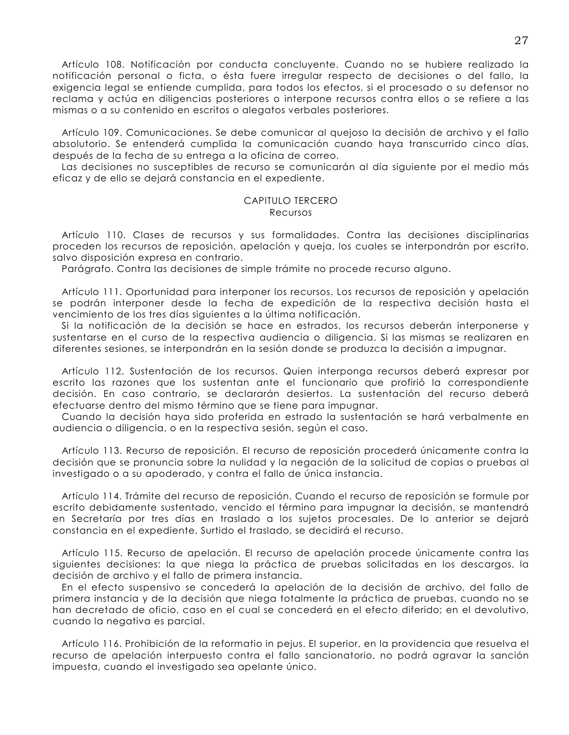Artículo 108. Notificación por conducta concluyente. Cuando no se hubiere realizado la notificación personal o ficta, o ésta fuere irregular respecto de decisiones o del fallo, la exigencia legal se entiende cumplida, para todos los efectos, si el procesado o su defensor no reclama y actúa en diligencias posteriores o interpone recursos contra ellos o se refiere a las mismas o a su contenido en escritos o alegatos verbales posteriores.

Artículo 109. Comunicaciones. Se debe comunicar al quejoso la decisión de archivo y el fallo absolutorio. Se entenderá cumplida la comunicación cuando haya transcurrido cinco días, después de la fecha de su entrega a la oficina de correo.

Las decisiones no susceptibles de recurso se comunicarán al día siguiente por el medio más eficaz y de ello se dejará constancia en el expediente.

#### CAPITULO TERCERO Recursos

Artículo 110. Clases de recursos y sus formalidades. Contra las decisiones disciplinarias proceden los recursos de reposición, apelación y queja, los cuales se interpondrán por escrito, salvo disposición expresa en contrario.

Parágrafo. Contra las decisiones de simple trámite no procede recurso alguno.

Artículo 111. Oportunidad para interponer los recursos. Los recursos de reposición y apelación se podrán interponer desde la fecha de expedición de la respectiva decisión hasta el vencimiento de los tres días siguientes a la última notificación.

Si la notificación de la decisión se hace en estrados, los recursos deberán interponerse y sustentarse en el curso de la respectiva audiencia o diligencia. Si las mismas se realizaren en diferentes sesiones, se interpondrán en la sesión donde se produzca la decisión a impugnar.

Artículo 112. Sustentación de los recursos. Quien interponga recursos deberá expresar por escrito las razones que los sustentan ante el funcionario que profirió la correspondiente decisión. En caso contrario, se declararán desiertos. La sustentación del recurso deberá efectuarse dentro del mismo término que se tiene para impugnar.

Cuando la decisión haya sido proferida en estrado la sustentación se hará verbalmente en audiencia o diligencia, o en la respectiva sesión, según el caso.

Artículo 113. Recurso de reposición. El recurso de reposición procederá únicamente contra la decisión que se pronuncia sobre la nulidad y la negación de la solicitud de copias o pruebas al investigado o a su apoderado, y contra el fallo de única instancia.

Artículo 114. Trámite del recurso de reposición. Cuando el recurso de reposición se formule por escrito debidamente sustentado, vencido el término para impugnar la decisión, se mantendrá en Secretaría por tres días en traslado a los sujetos procesales. De lo anterior se dejará constancia en el expediente. Surtido el traslado, se decidirá el recurso.

Artículo 115. Recurso de apelación. El recurso de apelación procede únicamente contra las siguientes decisiones: la que niega la práctica de pruebas solicitadas en los descargos, la decisión de archivo y el fallo de primera instancia.

En el efecto suspensivo se concederá la apelación de la decisión de archivo, del fallo de primera instancia y de la decisión que niega totalmente la práctica de pruebas, cuando no se han decretado de oficio, caso en el cual se concederá en el efecto diferido; en el devolutivo, cuando la negativa es parcial.

Artículo 116. Prohibición de la reformatio in pejus. El superior, en la providencia que resuelva el recurso de apelación interpuesto contra el fallo sancionatorio, no podrá agravar la sanción impuesta, cuando el investigado sea apelante único.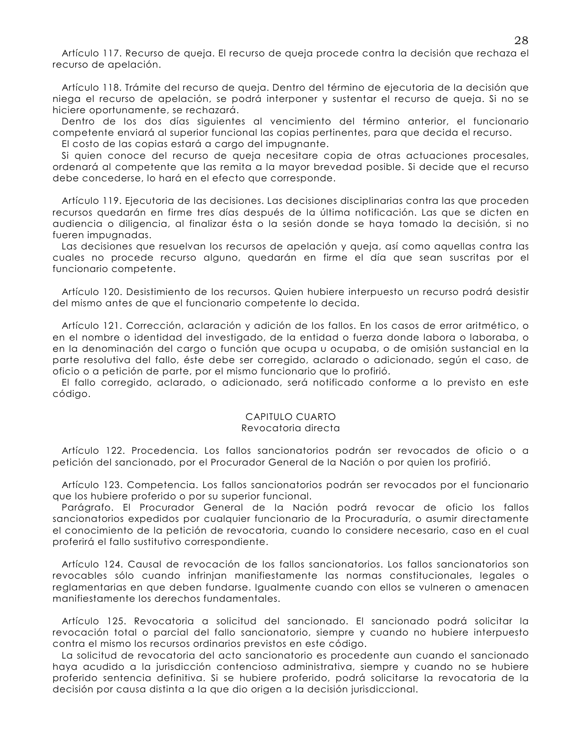Artículo 117. Recurso de gueja. El recurso de gueja procede contra la decisión que rechaza el recurso de apelación.

Artículo 118. Trámite del recurso de queja. Dentro del término de ejecutoria de la decisión que niega el recurso de apelación, se podrá interponer y sustentar el recurso de queja. Si no se hiciere oportunamente, se rechazará.

Dentro de los dos días siguientes al vencimiento del término anterior, el funcionario competente enviará al superior funcional las copias pertinentes, para que decida el recurso.

El costo de las copias estará a carao del impuanante.

Si quien conoce del recurso de queja necesitare copia de otras actuaciones procesales, ordenará al competente que las remita a la mayor brevedad posible. Si decide que el recurso debe concederse, lo hará en el efecto que corresponde.

Artículo 119. Ejecutoria de las decisiones. Las decisiones disciplinarias contra las que proceden recursos quedarán en firme tres días después de la última notificación. Las que se dicten en audiencia o diligencia, al finalizar ésta o la sesión donde se haya tomado la decisión, si no fueren impugnadas.

Las decisiones que resuelvan los recursos de apelación y queja, así como aquellas contra las cuales no procede recurso alguno, quedarán en firme el día que sean suscritas por el funcionario competente.

Artículo 120. Desistimiento de los recursos. Quien hubiere interpuesto un recurso podrá desistir del mismo antes de que el funcionario competente lo decida.

Artículo 121. Corrección, aclaración y adición de los fallos. En los casos de error aritmético, o en el nombre o identidad del investigado, de la entidad o fuerza donde labora o laboraba, o en la denominación del cargo o función que ocupa u ocupaba, o de omisión sustancial en la parte resolutiva del fallo, éste debe ser corregido, aclarado o adicionado, según el caso, de oficio o a petición de parte, por el mismo funcionario que lo profirió.

El fallo corregido, aclarado, o adicionado, será notificado conforme a lo previsto en este código.

#### CAPITULO CUARTO Revocatoria directa

Artículo 122. Procedencia. Los fallos sancionatorios podrán ser revocados de oficio o a petición del sancionado, por el Procurador General de la Nación o por quien los profirió.

Artículo 123. Competencia. Los fallos sancionatorios podrán ser revocados por el funcionario que los hubiere proferido o por su superior funcional.

Parágrafo. El Procurador General de la Nación podrá revocar de oficio los fallos sancionatorios expedidos por cualquier funcionario de la Procuraduría, o asumir directamente el conocimiento de la petición de revocatoria, cuando lo considere necesario, caso en el cual proferirá el fallo sustitutivo correspondiente.

Artículo 124. Causal de revocación de los fallos sancionatorios. Los fallos sancionatorios son revocables sólo cuando infrinjan manifiestamente las normas constitucionales, legales o reglamentarias en que deben fundarse. Igualmente cuando con ellos se vulneren o amenacen manifiestamente los derechos fundamentales.

Artículo 125. Revocatoria a solicitud del sancionado. El sancionado podrá solicitar la revocación total o parcial del fallo sancionatorio, siempre y cuando no hubiere interpuesto contra el mismo los recursos ordinarios previstos en este código.

La solicitud de revocatoria del acto sancionatorio es procedente aun cuando el sancionado haya acudido a la jurisdicción contencioso administrativa, siempre y cuando no se hubiere proferido sentencia definitiva. Si se hubiere proferido, podrá solicitarse la revocatoria de la decisión por causa distinta a la que dio origen a la decisión jurisdiccional.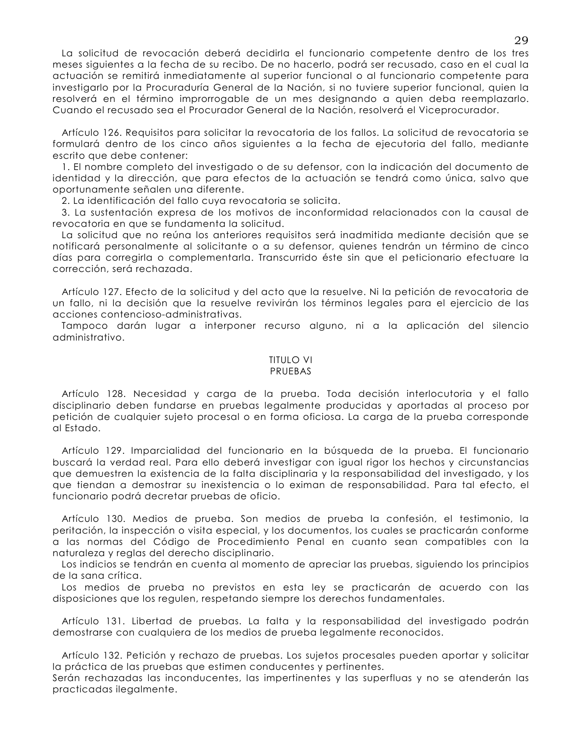La solicitud de revocación deberá decidirla el funcionario competente dentro de los tres meses siguientes a la fecha de su recibo. De no hacerlo, podrá ser recusado, caso en el cual la actuación se remitirá inmediatamente al superior funcional o al funcionario competente para investigarlo por la Procuraduría General de la Nación, si no tuviere superior funcional, quien la resolverá en el término improrrogable de un mes designando a quien deba reemplazarlo. Cuando el recusado sea el Procurador General de la Nación, resolverá el Viceprocurador.

Artículo 126. Requisitos para solicitar la revocatoria de los fallos. La solicitud de revocatoria se formulará dentro de los cinco años siguientes a la fecha de ejecutoria del fallo, mediante escrito que debe contener:

1. El nombre completo del investigado o de su defensor, con la indicación del documento de identidad y la dirección, que para efectos de la actuación se tendrá como única, salvo que oportunamente señalen una diferente.

2. La identificación del fallo cuva revocatoria se solicita.

3. La sustentación expresa de los motivos de inconformidad relacionados con la causal de revocatoria en que se fundamenta la solicitud.

La solicitud que no reúna los anteriores requisitos será inadmitida mediante decisión que se notificará personalmente al solicitante o a su defensor, quienes tendrán un término de cinco días para corregirla o complementarla. Transcurrido éste sin que el peticionario efectuare la corrección, será rechazada.

Artículo 127. Efecto de la solicitud y del acto que la resuelve. Ni la petición de revocatoria de un fallo, ni la decisión que la resuelve revivirán los términos legales para el ejercicio de las acciones contencioso-administrativas.

Tampoco darán lugar a interponer recurso alguno, ni a la aplicación del silencio administrativo.

#### **TITULO VI**

## PRUEBAS

Artículo 128. Necesidad y carga de la prueba. Toda decisión interlocutoria y el fallo disciplinario deben fundarse en pruebas legalmente producidas y aportadas al proceso por petición de cualquier sujeto procesal o en forma oficiosa. La carga de la prueba corresponde al Estado.

Artículo 129. Imparcialidad del funcionario en la búsqueda de la prueba. El funcionario buscará la verdad real. Para ello deberá investigar con igual rigor los hechos y circunstancias que demuestren la existencia de la falta disciplinaria y la responsabilidad del investigado, y los que tiendan a demostrar su inexistencia o lo eximan de responsabilidad. Para tal efecto, el funcionario podrá decretar pruebas de oficio.

Artículo 130. Medios de prueba. Son medios de prueba la confesión, el testimonio, la peritación, la inspección o visita especial, y los documentos, los cuales se practicarán conforme a las normas del Código de Procedimiento Penal en cuanto sean compatibles con la naturaleza y reglas del derecho disciplinario.

Los indicios se tendrán en cuenta al momento de apreciar las pruebas, siguiendo los principios de la sana crítica.

Los medios de prueba no previstos en esta ley se practicarán de acuerdo con las disposiciones que los regulen, respetando siempre los derechos fundamentales.

Artículo 131. Libertad de pruebas. La falta y la responsabilidad del investigado podrán demostrarse con cualquiera de los medios de prueba legalmente reconocidos.

Artículo 132. Petición y rechazo de pruebas. Los sujetos procesales pueden aportar y solicitar la práctica de las pruebas que estimen conducentes y pertinentes.

Serán rechazadas las inconducentes, las impertinentes y las superfluas y no se atenderán las practicadas ilegalmente.

29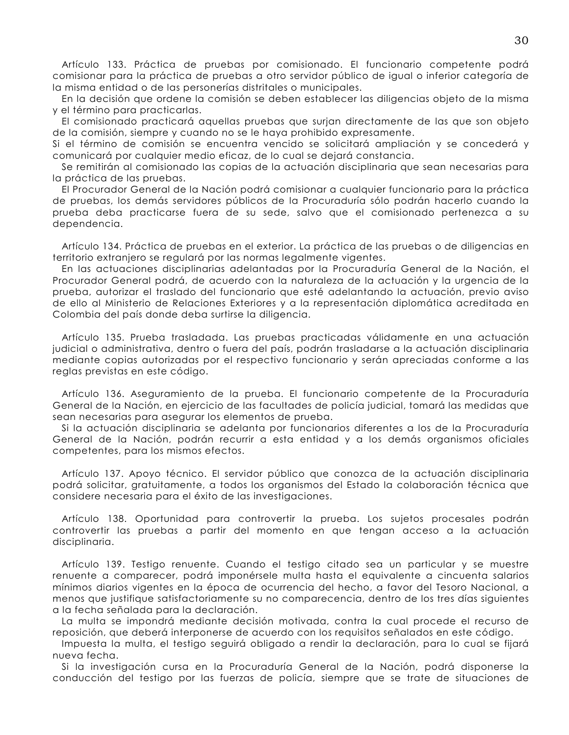Artículo 133. Práctica de pruebas por comisionado. El funcionario competente podrá comisionar para la práctica de pruebas a otro servidor público de igual o inferior categoría de la misma entidad o de las personerías distritales o municipales.

En la decisión que ordene la comisión se deben establecer las diligencias objeto de la misma y el término para practicarlas.

El comisionado practicará aquellas pruebas que surjan directamente de las que son objeto de la comisión, siempre y cuando no se le haya prohibido expresamente.

Si el término de comisión se encuentra vencido se solicitará ampliación y se concederá y comunicará por cualquier medio eficaz, de lo cual se dejará constancia.

Se remitirán al comisionado las copias de la actuación disciplinaria que sean necesarias para la práctica de las pruebas.

El Procurador General de la Nación podrá comisionar a cualquier funcionario para la práctica de pruebas, los demás servidores públicos de la Procuraduría sólo podrán hacerlo cuando la prueba deba practicarse fuera de su sede, salvo que el comisionado pertenezca a su dependencia.

Artículo 134. Práctica de pruebas en el exterior. La práctica de las pruebas o de diligencias en territorio extranjero se regulará por las normas legalmente vigentes.

En las actuaciones disciplinarias adelantadas por la Procuraduría General de la Nación, el Procurador General podrá, de acuerdo con la naturaleza de la actuación y la urgencia de la prueba, autorizar el traslado del funcionario que esté adelantando la actuación, previo aviso de ello al Ministerio de Relaciones Exteriores y a la representación diplomática acreditada en Colombia del país donde deba surtirse la diligencia.

Artículo 135. Prueba trasladada. Las pruebas practicadas válidamente en una actuación judicial o administrativa, dentro o fuera del país, podrán trasladarse a la actuación disciplinaria mediante copias autorizadas por el respectivo funcionario y serán apreciadas conforme a las reglas previstas en este código.

Artículo 136. Aseguramiento de la prueba. El funcionario competente de la Procuraduría General de la Nación, en ejercicio de las facultades de policía judicial, tomará las medidas que sean necesarias para asegurar los elementos de prueba.

Si la actuación disciplinaria se adelanta por funcionarios diferentes a los de la Procuraduría General de la Nación, podrán recurrir a esta entidad y a los demás organismos oficiales competentes, para los mismos efectos.

Artículo 137. Apoyo técnico. El servidor público que conozca de la actuación disciplinaria podrá solicitar, gratuitamente, a todos los organismos del Estado la colaboración técnica que considere necesaria para el éxito de las investigaciones.

Artículo 138. Oportunidad para controvertir la prueba. Los sujetos procesales podrán controvertir las pruebas a partir del momento en que tengan acceso a la actuación disciplinaria.

Artículo 139. Testigo renuente. Cuando el testigo citado sea un particular y se muestre renuente a comparecer, podrá imponérsele multa hasta el equivalente a cincuenta salarios mínimos diarios vigentes en la época de ocurrencia del hecho, a favor del Tesoro Nacional, a menos que justifique satisfactoriamente su no comparecencia, dentro de los tres días siguientes a la fecha señalada para la declaración.

La multa se impondrá mediante decisión motivada, contra la cual procede el recurso de reposición, que deberá interponerse de acuerdo con los requisitos señalados en este código.

Impuesta la multa, el testigo seguirá obligado a rendir la declaración, para lo cual se fijará nueva fecha.

Si la investigación cursa en la Procuraduría General de la Nación, podrá disponerse la conducción del testigo por las fuerzas de policía, siempre que se trate de situaciones de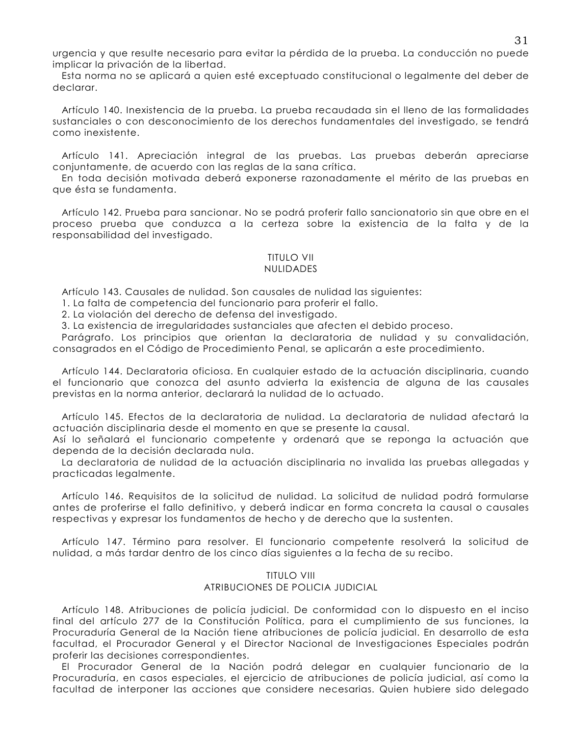urgencia y que resulte necesario para evitar la pérdida de la prueba. La conducción no puede implicar la privación de la libertad.

Esta norma no se aplicará a quien esté exceptuado constitucional o legalmente del deber de declarar.

Artículo 140. Inexistencia de la prueba. La prueba recaudada sin el lleno de las formalidades sustanciales o con desconocimiento de los derechos fundamentales del investigado, se tendrá como inexistente.

Artículo 141. Apreciación integral de las pruebas. Las pruebas deberán apreciarse conjuntamente, de acuerdo con las reglas de la sana crítica.

En toda decisión motivada deberá exponerse razonadamente el mérito de las pruebas en que ésta se fundamenta.

Artículo 142. Prueba para sancionar. No se podrá proferir fallo sancionatorio sin que obre en el proceso prueba que conduzca a la certeza sobre la existencia de la falta y de la responsabilidad del investigado.

#### TITUI O VII **NULIDADES**

Artículo 143. Causales de nulidad. Son causales de nulidad las siguientes:

1. La falta de competencia del funcionario para proferir el fallo.

2. La violación del derecho de defensa del investigado.

3. La existencia de irregularidades sustanciales que afecten el debido proceso.

Parágrafo. Los principios que orientan la declaratoria de nulidad y su convalidación, consagrados en el Código de Procedimiento Penal, se aplicarán a este procedimiento.

Artículo 144. Declaratoria oficiosa. En cualquier estado de la actuación disciplinaria, cuando el funcionario que conozca del asunto advierta la existencia de alguna de las causales previstas en la norma anterior, declarará la nulidad de lo actuado.

Artículo 145. Efectos de la declaratoria de nulidad. La declaratoria de nulidad afectará la actuación disciplinaria desde el momento en que se presente la causal.

Así lo señalará el funcionario competente y ordenará que se reponga la actuación que dependa de la decisión declarada nula.

La declaratoria de nulidad de la actuación disciplinaria no invalida las pruebas allegadas y practicadas legalmente.

Artículo 146. Requisitos de la solicitud de nulidad. La solicitud de nulidad podrá formularse antes de proferirse el fallo definitivo, y deberá indicar en forma concreta la causal o causales respectivas y expresar los fundamentos de hecho y de derecho que la sustenten.

Artículo 147. Término para resolver. El funcionario competente resolverá la solicitud de nulidad, a más tardar dentro de los cinco días siguientes a la fecha de su recibo.

## **TITULO VIII** ATRIBUCIONES DE POLICIA JUDICIAL

Artículo 148. Atribuciones de policía judicial. De conformidad con lo dispuesto en el inciso final del artículo 277 de la Constitución Política, para el cumplimiento de sus funciones, la Procuraduría General de la Nación tiene atribuciones de policía judicial. En desarrollo de esta facultad, el Procurador General y el Director Nacional de Investigaciones Especiales podrán proferir las decisiones correspondientes.

El Procurador General de la Nación podrá delegar en cualquier funcionario de la Procuraduría, en casos especiales, el ejercicio de atribuciones de policía judicial, así como la facultad de interponer las acciones que considere necesarias. Quien hubiere sido delegado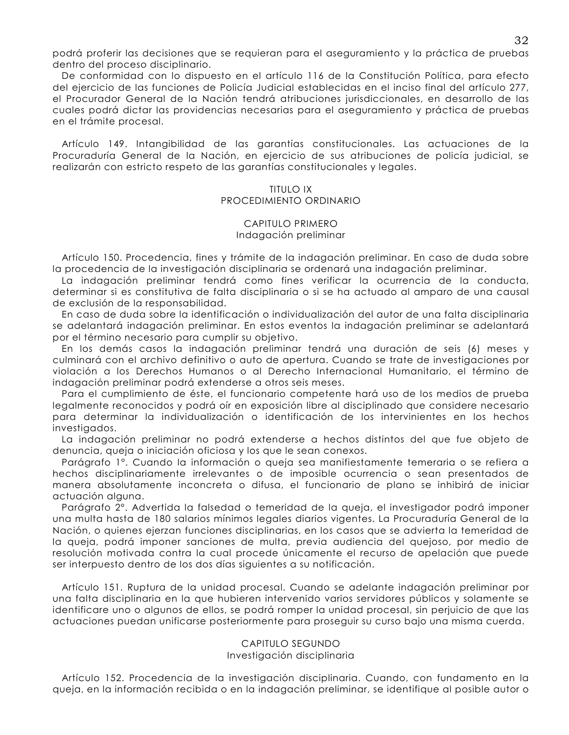podrá proferir las decisiones que se requieran para el aseguramiento y la práctica de pruebas dentro del proceso disciplinario.

De conformidad con lo dispuesto en el artículo 116 de la Constitución Política, para efecto del ejercicio de las funciones de Policía Judicial establecidas en el inciso final del artículo 277, el Procurador General de la Nación tendrá atribuciones jurisdiccionales, en desarrollo de las cuales podrá dictar las providencias necesarias para el aseguramiento y práctica de pruebas en el trámite procesal.

Artículo 149. Intangibilidad de las agrantías constitucionales. Las actuaciones de la Procuraduría General de la Nación, en ejercicio de sus atribuciones de policía judicial, se realizarán con estricto respeto de las garantías constitucionales y legales.

## **TITULO IX** PROCEDIMIENTO ORDINARIO

#### CAPITULO PRIMERO Indagación preliminar

Artículo 150. Procedencia, fines y trámite de la indagación preliminar. En caso de duda sobre la procedencia de la investigación disciplinaria se ordenará una indagación preliminar.

La indagación preliminar tendrá como fines verificar la ocurrencia de la conducta, determinar si es constitutiva de falta disciplinaria o si se ha actuado al amparo de una causal de exclusión de la responsabilidad.

En caso de duda sobre la identificación o individualización del autor de una falta disciplinaria se adelantará indagación preliminar. En estos eventos la indagación preliminar se adelantará por el término necesario para cumplir su objetivo.

En los demás casos la indagación preliminar tendrá una duración de seis (6) meses y culminará con el archivo definitivo o auto de apertura. Cuando se trate de investigaciones por violación a los Derechos Humanos o al Derecho Internacional Humanitario, el término de indagación preliminar podrá extenderse a otros seis meses.

Para el cumplimiento de éste, el funcionario competente hará uso de los medios de prueba legalmente reconocidos y podrá oír en exposición libre al disciplinado que considere necesario para determinar la individualización o identificación de los intervinientes en los hechos investigados.

La indagación preliminar no podrá extenderse a hechos distintos del que fue objeto de denuncia, queja o iniciación oficiosa y los que le sean conexos.

Parágrafo 1º. Cuando la información o queja sea manifiestamente temeraria o se refiera a hechos disciplinariamente irrelevantes o de imposible ocurrencia o sean presentados de manera absolutamente inconcreta o difusa, el funcionario de plano se inhibirá de iniciar actuación alguna.

Parágrafo 2°. Advertida la falsedad o temeridad de la queja, el investigador podrá imponer una multa hasta de 180 salarios mínimos legales diarios vigentes. La Procuraduría General de la Nación, o quienes ejerzan funciones disciplinarias, en los casos que se advierta la temeridad de la queja, podrá imponer sanciones de multa, previa audiencia del quejoso, por medio de resolución motivada contra la cual procede únicamente el recurso de apelación que puede ser interpuesto dentro de los dos días siguientes a su notificación.

Artículo 151. Ruptura de la unidad procesal. Cuando se adelante indagación preliminar por una falta disciplinaria en la que hubieren intervenido varios servidores públicos y solamente se identificare uno o algunos de ellos, se podrá romper la unidad procesal, sin perjuicio de que las actuaciones puedan unificarse posteriormente para proseguir su curso bajo una misma cuerda.

# CAPITULO SEGUNDO

Investigación disciplinaria

Artículo 152. Procedencia de la investigación disciplinaria. Cuando, con fundamento en la queja, en la información recibida o en la indagación preliminar, se identifique al posible autor o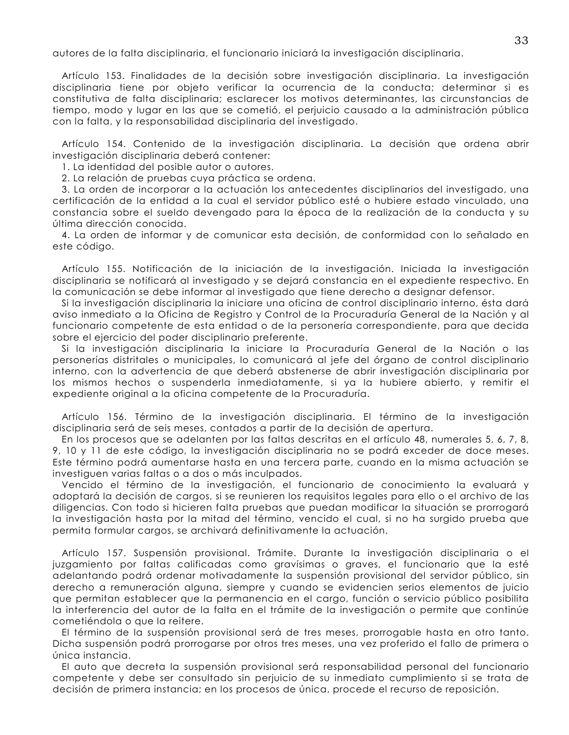autores de la falta disciplinaria, el funcionario iniciará la investigación disciplinaria.

Artículo 153. Finalidades de la decisión sobre investigación disciplinaria. La investigación disciplinaria tiene por objeto verificar la ocurrencia de la conducta; determinar si es constitutiva de falta disciplinaria; esclarecer los motivos determinantes, las circunstancias de tiempo, modo y lugar en las que se cometió, el perjuicio causado a la administración pública con la falta, y la responsabilidad disciplinaria del investigado.

Artículo 154. Contenido de la investigación disciplinaria. La decisión que ordena abrir investigación disciplinaria deberá contener:

1. La identidad del posible autor o autores.

2. La relación de pruebas cuya práctica se ordena.

3. La orden de incorporar a la actuación los antecedentes disciplinarios del investigado, una certificación de la entidad a la cual el servidor público esté o hubiere estado vinculado, una constancia sobre el sueldo devengado para la época de la realización de la conducta y su última dirección conocida.

4. La orden de informar y de comunicar esta decisión, de conformidad con lo señalado en este código.

Artículo 155. Notificación de la iniciación de la investigación. Iniciada la investigación disciplinaria se notificará al investigado y se dejará constancia en el expediente respectivo. En la comunicación se debe informar al investigado que tiene derecho a designar defensor.

Si la investigación disciplinaria la iniciare una oficina de control disciplinario interno, ésta dará aviso inmediato a la Oficina de Registro y Control de la Procuraduría General de la Nación y al funcionario competente de esta entidad o de la personería correspondiente, para que decida sobre el ejercicio del poder disciplinario preferente.

Si la investigación disciplinaria la iniciare la Procuraduría General de la Nación o las personerías distritales o municipales, lo comunicará al jefe del órgano de control disciplinario interno, con la advertencia de que deberá abstenerse de abrir investigación disciplinaria por los mismos hechos o suspenderla inmediatamente, si ya la hubiere abierto, y remitir el expediente original a la oficina competente de la Procuraduría.

Artículo 156. Término de la investigación disciplinaria. El término de la investigación disciplinaria será de seis meses, contados a partir de la decisión de apertura.

En los procesos que se adelanten por las faltas descritas en el artículo 48, numerales 5, 6, 7, 8, 9, 10 y 11 de este código, la investigación disciplinaria no se podrá exceder de doce meses. Este término podrá aumentarse hasta en una tercera parte, cuando en la misma actuación se investiguen varias faltas o a dos o más inculpados.

Vencido el término de la investigación, el funcionario de conocimiento la evaluará y adoptará la decisión de cargos, si se reunieren los requisitos legales para ello o el archivo de las diligencias. Con todo si hicieren falta pruebas que puedan modificar la situación se prorrogará la investigación hasta por la mitad del término, vencido el cual, si no ha surgido prueba que permita formular cargos, se archivará definitivamente la actuación.

Artículo 157. Suspensión provisional. Trámite. Durante la investigación disciplinaria o el juzgamiento por faltas calificadas como gravísimas o graves, el funcionario que la esté adelantando podrá ordenar motivadamente la suspensión provisional del servidor público, sin derecho a remuneración alguna, siempre y cuando se evidencien serios elementos de juicio que permitan establecer que la permanencia en el cargo, función o servicio público posibilita la interferencia del autor de la falta en el trámite de la investigación o permite que continúe cometiéndola o que la reitere.

El término de la suspensión provisional será de tres meses, prorrogable hasta en otro tanto. Dicha suspensión podrá prorrogarse por otros tres meses, una vez proferido el fallo de primera o única instancia.

El auto que decreta la suspensión provisional será responsabilidad personal del funcionario competente y debe ser consultado sin perjuicio de su inmediato cumplimiento si se trata de decisión de primera instancia; en los procesos de única, procede el recurso de reposición.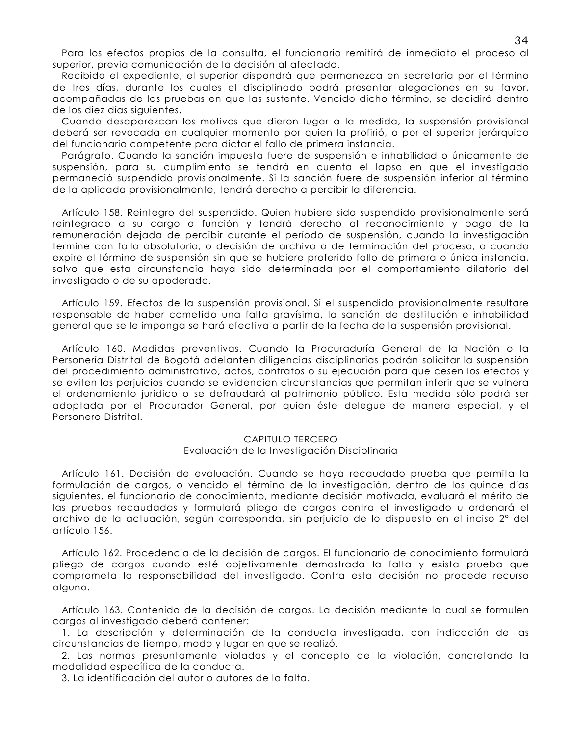Para los efectos propios de la consulta, el funcionario remitirá de inmediato el proceso al superior, previa comunicación de la decisión al afectado.

Recibido el expediente, el superior dispondrá que permanezca en secretaría por el término de tres días, durante los cuales el disciplinado podrá presentar alegaciones en su favor, acompañadas de las pruebas en que las sustente. Vencido dicho término, se decidirá dentro de los diez días siaujentes.

Cuando desaparezcan los motivos que dieron lugar a la medida, la suspensión provisional deberá ser revocada en cualquier momento por quien la profirió, o por el superior jerárquico del funcionario competente para dictar el fallo de primera instancia.

Parágrafo. Cuando la sanción impuesta fuere de suspensión e inhabilidad o únicamente de suspensión, para su cumplimiento se tendrá en cuenta el lapso en que el investigado permaneció suspendido provisionalmente. Si la sanción fuere de suspensión inferior al término de la aplicada provisionalmente, tendrá derecho a percibir la diferencia.

Artículo 158. Reintegro del suspendido. Quien hubiere sido suspendido provisionalmente será reintegrado a su cargo o función y tendrá derecho al reconocimiento y pago de la remuneración dejada de percibir durante el período de suspensión, cuando la investigación termine con fallo absolutorio, o decisión de archivo o de terminación del proceso, o cuando expire el término de suspensión sin que se hubiere proferido fallo de primera o única instancia, salvo que esta circunstancia haya sido determinada por el comportamiento dilatorio del investigado o de su apoderado.

Artículo 159. Efectos de la suspensión provisional. Si el suspendido provisionalmente resultare responsable de haber cometido una falta gravísima, la sanción de destitución e inhabilidad general que se le imponga se hará efectiva a partir de la fecha de la suspensión provisional.

Artículo 160. Medidas preventivas. Cuando la Procuraduría General de la Nación o la Personería Distrital de Bogotá adelanten diligencias disciplinarias podrán solicitar la suspensión del procedimiento administrativo, actos, contratos o su ejecución para que cesen los efectos y se eviten los perjuicios cuando se evidencien circunstancias que permitan inferir que se vulnera el ordenamiento jurídico o se defraudará al patrimonio público. Esta medida sólo podrá ser adoptada por el Procurador General, por quien éste delegue de manera especial, y el Personero Distrital.

## CAPITULO TERCERO

#### Evaluación de la Investigación Disciplinaria

Artículo 161. Decisión de evaluación. Cuando se haya recaudado prueba que permita la formulación de cargos, o vencido el término de la investigación, dentro de los quince días siguientes, el funcionario de conocimiento, mediante decisión motivada, evaluará el mérito de las pruebas recaudadas y formulará pliego de cargos contra el investigado u ordenará el archivo de la actuación, según corresponda, sin perjuicio de lo dispuesto en el inciso 2° del artículo 156.

Artículo 162. Procedencia de la decisión de cargos. El funcionario de conocimiento formulará pliego de cargos cuando esté objetivamente demostrada la falta y exista prueba que comprometa la responsabilidad del investigado. Contra esta decisión no procede recurso alguno.

Artículo 163. Contenido de la decisión de cargos. La decisión mediante la cual se formulen cargos al investigado deberá contener:

1. La descripción y determinación de la conducta investigada, con indicación de las circunstancias de tiempo, modo y lugar en que se realizó.

2. Las normas presuntamente violadas y el concepto de la violación, concretando la modalidad específica de la conducta.

3. La identificación del autor o autores de la falta.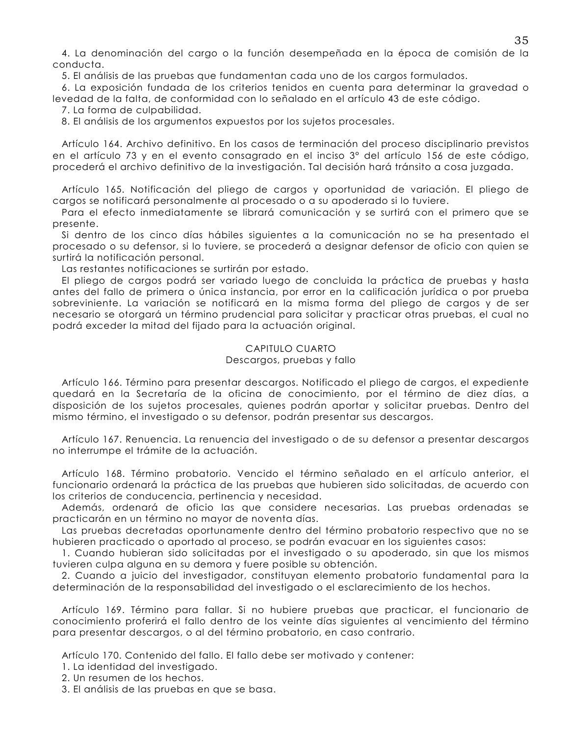4. La denominación del cargo o la función desempeñada en la época de comisión de la conducta.

5. El análisis de las pruebas que fundamentan cada uno de los cargos formulados.

6. La exposición fundada de los criterios tenidos en cuenta para determinar la gravedad o levedad de la falta, de conformidad con lo señalado en el artículo 43 de este código.

7. La forma de culpabilidad.

8. El análisis de los argumentos expuestos por los sujetos procesales.

Artículo 164, Archivo definitivo. En los casos de terminación del proceso disciplinario previstos en el artículo 73 y en el evento consagrado en el inciso 3° del artículo 156 de este código, procederá el archivo definitivo de la investigación. Tal decisión hará tránsito a cosa juzgada.

Artículo 165. Notificación del pliego de cargos y oportunidad de variación. El pliego de cargos se notificará personalmente al procesado o a su apoderado si lo tuviere.

Para el efecto inmediatamente se librará comunicación y se surtirá con el primero que se presente.

Si dentro de los cinco días hábiles siguientes a la comunicación no se ha presentado el procesado o su defensor, si lo tuviere, se procederá a designar defensor de oficio con quien se surtirá la notificación personal.

Las restantes notificaciones se surtirán por estado.

El pliego de cargos podrá ser variado luego de concluida la práctica de pruebas y hasta antes del fallo de primera o única instancia, por error en la calificación jurídica o por prueba sobreviniente. La variación se notificará en la misma forma del pliego de cargos y de ser necesario se otorgará un término prudencial para solicitar y practicar otras pruebas, el cual no podrá exceder la mitad del fijado para la actuación original.

## CAPITULO CUARTO

## Descargos, pruebas y fallo

Artículo 166. Término para presentar descargos. Notificado el pliego de cargos, el expediente quedará en la Secretaría de la oficina de conocimiento, por el término de diez días, a disposición de los sujetos procesales, quienes podrán aportar y solicitar pruebas. Dentro del mismo término, el investigado o su defensor, podrán presentar sus descargos.

Artículo 167. Renuencia. La renuencia del investigado o de su defensor a presentar descargos no interrumpe el trámite de la actuación.

Artículo 168. Término probatorio. Vencido el término señalado en el artículo anterior, el funcionario ordenará la práctica de las pruebas que hubieren sido solicitadas, de acuerdo con los criterios de conducencia, pertinencia y necesidad.

Además, ordenará de oficio las que considere necesarias. Las pruebas ordenadas se practicarán en un término no mayor de noventa días.

Las pruebas decretadas oportunamente dentro del término probatorio respectivo que no se hubieren practicado o aportado al proceso, se podrán evacuar en los siguientes casos:

1. Cuando hubieran sido solicitadas por el investigado o su apoderado, sin que los mismos tuvieren culpa alguna en su demora y fuere posible su obtención.

2. Cuando a juicio del investigador, constituyan elemento probatorio fundamental para la determinación de la responsabilidad del investigado o el esclarecimiento de los hechos.

Artículo 169. Término para fallar. Si no hubiere pruebas que practicar, el funcionario de conocimiento proferirá el fallo dentro de los veinte días siguientes al vencimiento del término para presentar descargos, o al del término probatorio, en caso contrario.

Artículo 170. Contenido del fallo. El fallo debe ser motivado y contener:

1. La identidad del investigado.

2. Un resumen de los hechos.

3. El análisis de las pruebas en que se basa.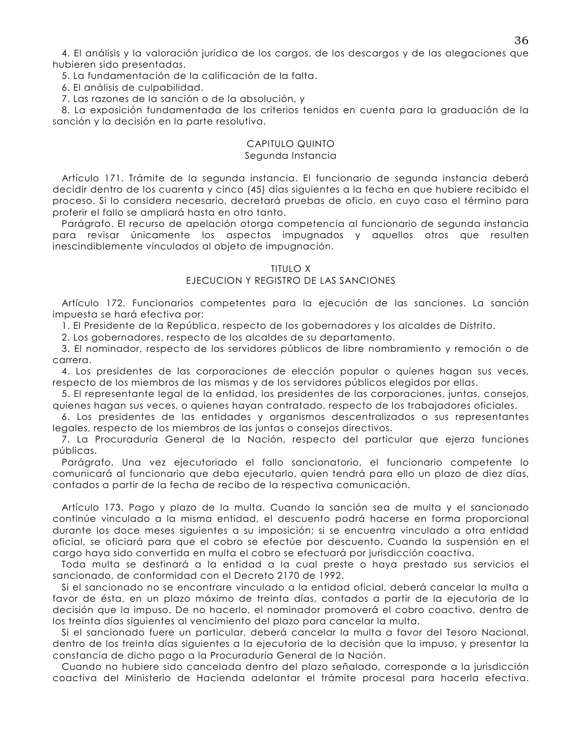4. El análisis y la valoración jurídica de los cargos, de los descargos y de las alegaciones que hubieren sido presentadas.

5. La fundamentación de la calificación de la falta.

6. El análisis de culpabilidad.

7. Las razones de la sanción o de la absolución, y

8. La exposición fundamentada de los criterios tenidos en cuenta para la graduación de la sanción y la decisión en la parte resolutiva.

#### CAPITULO QUINTO Segunda Instancia

Artículo 171. Trámite de la segunda instancia. El funcionario de segunda instancia deberá decidir dentro de los cuarenta y cinco (45) días siguientes a la fecha en que hubiere recibido el proceso. Si lo considera necesario, decretará pruebas de oficio, en cuyo caso el término para proferir el fallo se ampliará hasta en otro tanto.

Parágrafo. El recurso de apelación otorga competencia al funcionario de segunda instancia para revisar únicamente los aspectos impugnados y aquellos otros que resulten inescindiblemente vinculados al objeto de impugnación.

#### **TITULO X**

## EJECUCION Y REGISTRO DE LAS SANCIONES

Artículo 172. Funcionarios competentes para la ejecución de las sanciones. La sanción impuesta se hará efectiva por:

1. El Presidente de la República, respecto de los gobernadores y los alcaldes de Distrito.

2. Los gobernadores, respecto de los alcaldes de su departamento.

3. El nominador, respecto de los servidores públicos de libre nombramiento y remoción o de carrera.

4. Los presidentes de las corporaciones de elección popular o quienes hagan sus veces, respecto de los miembros de las mismas y de los servidores públicos elegidos por ellas.

5. El representante legal de la entidad, los presidentes de las corporaciones, juntas, consejos, guienes hagan sus veces, o quienes hayan contratado, respecto de los trabajadores oficiales.

6. Los presidentes de las entidades y organismos descentralizados o sus representantes legales, respecto de los miembros de las juntas o consejos directivos.

7. La Procuraduría General de la Nación, respecto del particular que ejerza funciones públicas.

Parágrafo. Una vez ejecutoriado el fallo sancionatorio, el funcionario competente lo comunicará al funcionario que deba ejecutarlo, quien tendrá para ello un plazo de diez días, contados a partir de la fecha de recibo de la respectiva comunicación.

Artículo 173. Pago y plazo de la multa. Cuando la sanción sea de multa y el sancionado continúe vinculado a la misma entidad, el descuento podrá hacerse en forma proporcional durante los doce meses siguientes a su imposición; si se encuentra vinculado a otra entidad oficial, se oficiará para que el cobro se efectúe por descuento. Cuando la suspensión en el cargo haya sido convertida en multa el cobro se efectuará por jurisdicción coactiva.

Toda multa se destinará a la entidad a la cual preste o haya prestado sus servicios el sancionado, de conformidad con el Decreto 2170 de 1992.

Si el sancionado no se encontrare vinculado a la entidad oficial, deberá cancelar la multa a favor de ésta, en un plazo máximo de treinta días, contados a partir de la ejecutoria de la decisión que la impuso. De no hacerlo, el nominador promoverá el cobro coactivo, dentro de los treinta días siguientes al vencimiento del plazo para cancelar la multa.

Si el sancionado fuere un particular, deberá cancelar la multa a favor del Tesoro Nacional, dentro de los treinta días siguientes a la ejecutoria de la decisión que la impuso, y presentar la constancia de dicho pago a la Procuraduría General de la Nación.

Cuando no hubiere sido cancelada dentro del plazo señalado, corresponde a la jurisdicción coactiva del Ministerio de Hacienda adelantar el trámite procesal para hacerla efectiva.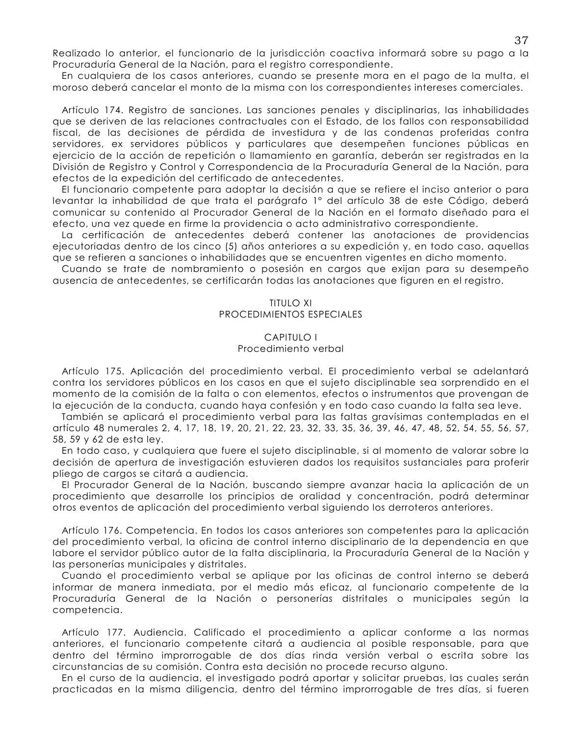Realizado lo anterior, el funcionario de la jurisdicción coactiva informará sobre su pago a la Procuraduría General de la Nación, para el registro correspondiente.

En cualquiera de los casos anteriores, cuando se presente mora en el pago de la multa, el moroso deberá cancelar el monto de la misma con los correspondientes intereses comerciales.

Artículo 174. Registro de sanciones. Las sanciones penales y disciplinarias, las inhabilidades que se deriven de las relaciones contractuales con el Estado, de los fallos con responsabilidad fiscal, de las decisiones de pérdida de investidura y de las condenas proferidas contra servidores, ex servidores públicos y particulares que desempeñen funciones públicas en ejercicio de la acción de repetición o llamamiento en garantía, deberán ser registradas en la División de Registro y Control y Correspondencia de la Procuraduría General de la Nación, para efectos de la expedición del certificado de antecedentes.

El funcionario competente para adoptar la decisión a que se refiere el inciso anterior o para levantar la inhabilidad de que trata el parágrafo 1º del artículo 38 de este Código, deberá comunicar su contenido al Procurador General de la Nación en el formato diseñado para el efecto, una vez quede en firme la providencia o acto administrativo correspondiente.

La certificación de antecedentes deberá contener las anotaciones de providencias ejecutoriadas dentro de los cinco (5) años anteriores a su expedición y, en todo caso, aquellas que se refieren a sanciones o inhabilidades que se encuentren vigentes en dicho momento.

Cuando se trate de nombramiento o posesión en cargos que exijan para su desempeño ausencia de antecedentes, se certificarán todas las anotaciones que figuren en el registro.

#### **TITULO XI** PROCEDIMIENTOS ESPECIALES

## **CAPITULO I** Procedimiento verbal

Artículo 175. Aplicación del procedimiento verbal. El procedimiento verbal se adelantará contra los servidores públicos en los casos en que el sujeto disciplinable sea sorprendido en el momento de la comisión de la falta o con elementos, efectos o instrumentos que provengan de la ejecución de la conducta, cuando haya confesión y en todo caso cuando la falta sea leve.

También se aplicará el procedimiento verbal para las faltas gravísimas contempladas en el artículo 48 numerales 2, 4, 17, 18, 19, 20, 21, 22, 23, 32, 33, 35, 36, 39, 46, 47, 48, 52, 54, 55, 56, 57, 58, 59 y 62 de esta ley.

En todo caso, y cualquiera que fuere el sujeto disciplinable, si al momento de valorar sobre la decisión de apertura de investigación estuvieren dados los requisitos sustanciales para proferir pliego de cargos se citará a audiencia.

El Procurador General de la Nación, buscando siempre avanzar hacia la aplicación de un procedimiento que desarrolle los principios de oralidad y concentración, podrá determinar otros eventos de aplicación del procedimiento verbal siguiendo los derroteros anteriores.

Artículo 176. Competencia. En todos los casos anteriores son competentes para la aplicación del procedimiento verbal, la oficina de control interno disciplinario de la dependencia en que labore el servidor público autor de la falta disciplinaria, la Procuraduría General de la Nación y las personerías municipales y distritales.

Cuando el procedimiento verbal se aplique por las oficinas de control interno se deberá informar de manera inmediata, por el medio más eficaz, al funcionario competente de la Procuraduría General de la Nación o personerías distritales o municipales según la competencia.

Artículo 177. Audiencia. Calificado el procedimiento a aplicar conforme a las normas anteriores, el funcionario competente citará a audiencia al posible responsable, para que dentro del término improrrogable de dos días rinda versión verbal o escrita sobre las circunstancias de su comisión. Contra esta decisión no procede recurso alguno.

En el curso de la audiencia, el investigado podrá aportar y solicitar pruebas, las cuales serán practicadas en la misma diligencia, dentro del término improrrogable de tres días, si fueren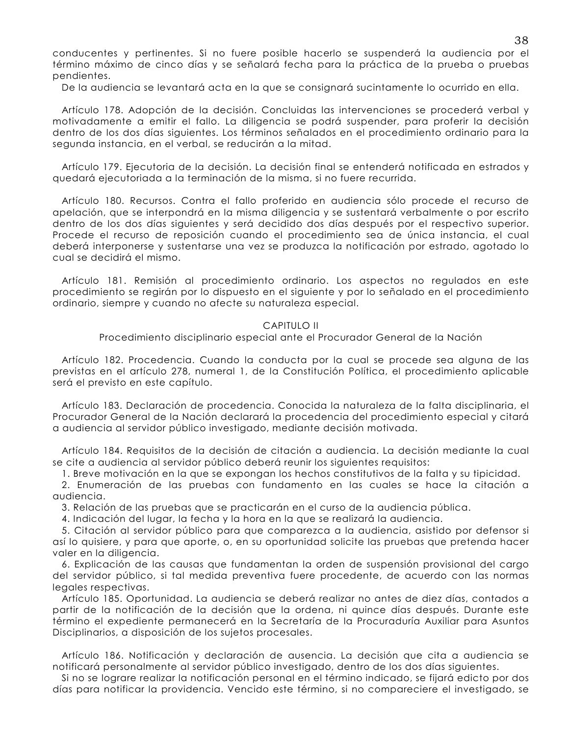conducentes y pertinentes. Si no fuere posible hacerlo se suspenderá la audiencia por el término máximo de cinco días y se señalará fecha para la práctica de la prueba o pruebas pendientes.

De la audiencia se levantará acta en la que se consignará sucintamente lo ocurrido en ella.

Artículo 178. Adopción de la decisión. Concluidas las intervenciones se procederá verbal y motivadamente a emitir el fallo. La diligencia se podrá suspender, para proferir la decisión dentro de los dos días siguientes. Los términos señalados en el procedimiento ordinario para la segunda instancia, en el verbal, se reducirán a la mitad.

Artículo 179. Ejecutoria de la decisión. La decisión final se entenderá notificada en estrados y quedará ejecutoriada a la terminación de la misma, si no fuere recurrida.

Artículo 180. Recursos. Contra el fallo proferido en audiencia sólo procede el recurso de apelación, que se interpondrá en la misma diligencia y se sustentará verbalmente o por escrito dentro de los dos días siguientes y será decidido dos días después por el respectivo superior. Procede el recurso de reposición cuando el procedimiento sea de única instancia, el cual deberá interponerse y sustentarse una vez se produzca la notificación por estrado, agotado lo cual se decidirá el mismo.

Artículo 181. Remisión al procedimiento ordinario. Los aspectos no regulados en este procedimiento se regirán por lo dispuesto en el siguiente y por lo señalado en el procedimiento ordinario, siempre y cuando no afecte su naturaleza especial.

#### **CAPITULO II**

Procedimiento disciplinario especial ante el Procurador General de la Nación

Artículo 182. Procedencia. Cuando la conducta por la cual se procede sea alguna de las previstas en el artículo 278, numeral 1, de la Constitución Política, el procedimiento aplicable será el previsto en este capítulo.

Artículo 183. Declaración de procedencia. Conocida la naturaleza de la falta disciplinaria, el Procurador General de la Nación declarará la procedencia del procedimiento especial y citará a audiencia al servidor público investigado, mediante decisión motivada.

Artículo 184, Requisitos de la decisión de citación a audiencia. La decisión mediante la cual se cite a audiencia al servidor público deberá reunir los siguientes requisitos:

1. Breve motivación en la que se expongan los hechos constitutivos de la falta y su tipicidad.

2. Enumeración de las pruebas con fundamento en las cuales se hace la citación a audiencia.

3. Relación de las pruebas que se practicarán en el curso de la audiencia pública.

4. Indicación del lugar, la fecha y la hora en la que se realizará la audiencia.

5. Citación al servidor público para que comparezca a la audiencia, asistido por defensor si así lo quisiere, y para que aporte, o, en su oportunidad solicite las pruebas que pretenda hacer valer en la diligencia.

6. Explicación de las causas que fundamentan la orden de suspensión provisional del cargo del servidor público, si tal medida preventiva fuere procedente, de acuerdo con las normas legales respectivas.

Artículo 185. Oportunidad. La audiencia se deberá realizar no antes de diez días, contados a partir de la notificación de la decisión que la ordena, ni quince días después. Durante este término el expediente permanecerá en la Secretaría de la Procuraduría Auxiliar para Asuntos Disciplinarios, a disposición de los sujetos procesales.

Artículo 186. Notificación y declaración de ausencia. La decisión que cita a audiencia se notificará personalmente al servidor público investigado, dentro de los dos días siguientes.

Si no se lograre realizar la notificación personal en el término indicado, se fijará edicto por dos días para notificar la providencia. Vencido este término, si no compareciere el investigado, se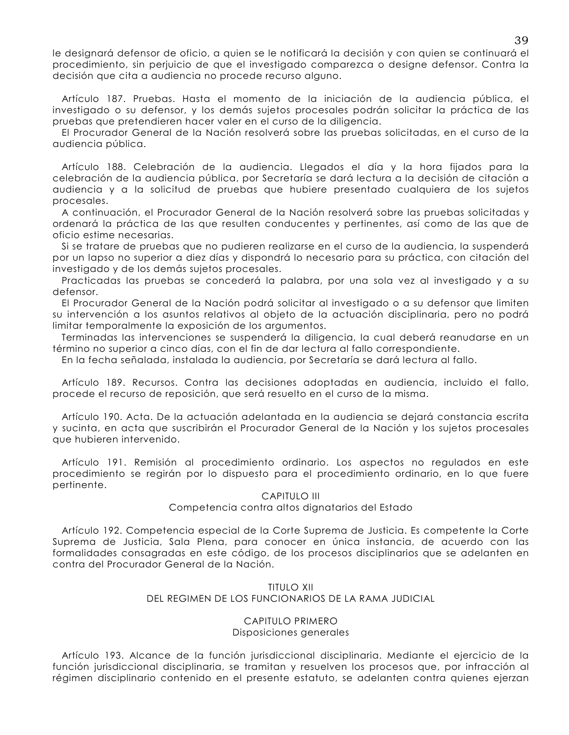le designará defensor de oficio, a quien se le notificará la decisión y con quien se continuará el procedimiento, sin perjuicio de que el investigado comparezca o designe defensor. Contra la decisión que cita a audiencia no procede recurso alguno.

Artículo 187. Pruebas. Hasta el momento de la iniciación de la audiencia pública, el investigado o su defensor, y los demás sujetos procesales podrán solicitar la práctica de las pruebas que pretendieren hacer valer en el curso de la diligencia.

El Procurador General de la Nación resolverá sobre las pruebas solicitadas, en el curso de la audiencia pública.

Artículo 188. Celebración de la audiencia. Llegados el día y la hora fijados para la celebración de la audiencia pública, por Secretaría se dará lectura a la decisión de citación a audiencia y a la solicitud de pruebas que hubiere presentado cualquiera de los sujetos procesales.

A continuación, el Procurador General de la Nación resolverá sobre las pruebas solicitadas y ordenará la práctica de las que resulten conducentes y pertinentes, así como de las que de oficio estime necesarias.

Si se tratare de pruebas que no pudieren realizarse en el curso de la audiencia, la suspenderá por un lapso no superior a diez días y dispondrá lo necesario para su práctica, con citación del investigado y de los demás sujetos procesales.

Practicadas las pruebas se concederá la palabra, por una sola vez al investigado y a su defensor.

El Procurador General de la Nación podrá solicitar al investigado o a su defensor que limiten su intervención a los asuntos relativos al objeto de la actuación disciplinaria, pero no podrá limitar temporalmente la exposición de los argumentos.

Terminadas las intervenciones se suspenderá la diligencia, la cual deberá reanudarse en un término no superior a cinco días, con el fin de dar lectura al fallo correspondiente.

En la fecha señalada, instalada la audiencia, por Secretaría se dará lectura al fallo.

Artículo 189. Recursos. Contra las decisiones adoptadas en audiencia, incluido el fallo, procede el recurso de reposición, que será resuelto en el curso de la misma.

Artículo 190. Acta. De la actuación adelantada en la audiencia se dejará constancia escrita y sucinta, en acta que suscribirán el Procurador General de la Nación y los sujetos procesales que hubieren intervenido.

Artículo 191. Remisión al procedimiento ordinario. Los aspectos no regulados en este procedimiento se regirán por lo dispuesto para el procedimiento ordinario, en lo que fuere pertinente.

## **CAPITULO III**

## Competencia contra altos dignatarios del Estado

Artículo 192. Competencia especial de la Corte Suprema de Justicia. Es competente la Corte Suprema de Justicia, Sala Plena, para conocer en única instancia, de acuerdo con las formalidades consagradas en este código, de los procesos disciplinarios que se adelanten en contra del Procurador General de la Nación.

# **TITULO XII** DEL REGIMEN DE LOS FUNCIONARIOS DE LA RAMA JUDICIAL

# CAPITULO PRIMERO Disposiciones generales

Artículo 193. Alcance de la función jurisdiccional disciplinaria. Mediante el ejercicio de la función jurisdiccional disciplinaria, se tramitan y resuelven los procesos que, por infracción al régimen disciplinario contenido en el presente estatuto, se adelanten contra quienes ejerzan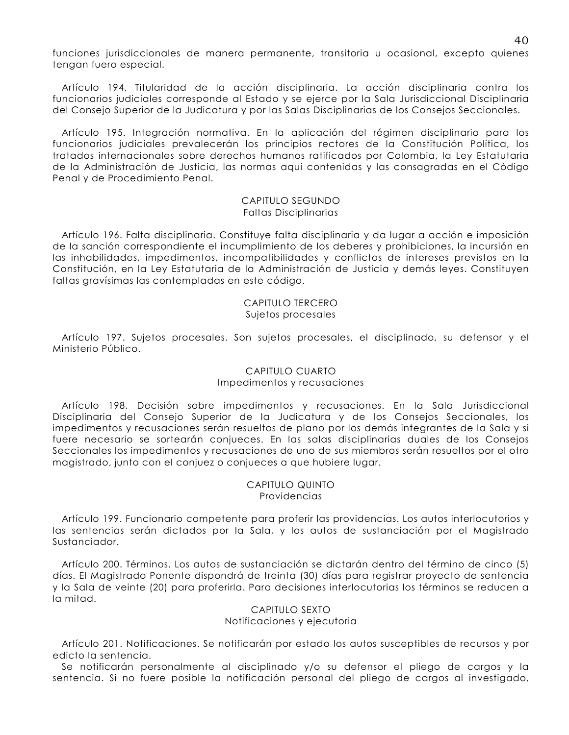funciones jurisdiccionales de manera permanente, transitoria y ocasional, excepto quienes tengan fuero especial.

Artículo 194. Titularidad de la acción disciplinaria. La acción disciplinaria contra los funcionarios judiciales corresponde al Estado y se ejerce por la Sala Jurisdiccional Disciplinaria del Consejo Superior de la Judicatura y por las Salas Disciplinarias de los Consejos Seccionales.

Artículo 195. Integración normativa. En la aplicación del régimen disciplinario para los funcionarios judiciales prevalecerán los principios rectores de la Constitución Política, los tratados internacionales sobre derechos humanos ratificados por Colombia, la Ley Estatutaria de la Administración de Justicia, las normas aquí contenidas y las consagradas en el Código Penal y de Procedimiento Penal.

## CAPITULO SEGUNDO **Faltas Disciplinarias**

Artículo 196. Falta disciplinaria. Constituye falta disciplinaria y da lugar a acción e imposición de la sanción correspondiente el incumplimiento de los deberes y prohibiciones, la incursión en las inhabilidades, impedimentos, incompatibilidades y conflictos de intereses previstos en la Constitución, en la Ley Estatutaria de la Administración de Justicia y demás leyes. Constituyen faltas gravísimas las contempladas en este código.

#### CAPITULO TERCERO Sujetos procesales

Artículo 197. Sujetos procesales. Son sujetos procesales, el disciplinado, su defensor y el Ministerio Público.

# CAPITULO CUARTO Impedimentos y recusaciones

Artículo 198. Decisión sobre impedimentos y recusaciones. En la Sala Jurisdiccional Disciplinaria del Consejo Superior de la Judicatura y de los Consejos Seccionales, los impedimentos y recusaciones serán resueltos de plano por los demás integrantes de la Sala y si fuere necesario se sortearán conjueces. En las salas disciplinarias duales de los Consejos Seccionales los impedimentos y recusaciones de uno de sus miembros serán resueltos por el otro magistrado, junto con el conjuez o conjueces a que hubiere lugar.

## CAPITULO QUINTO **Providencias**

Artículo 199. Funcionario competente para proferir las providencias. Los autos interlocutorios y las sentencias serán dictados por la Sala, y los autos de sustanciación por el Magistrado Sustanciador.

Artículo 200. Términos. Los autos de sustanciación se dictarán dentro del término de cinco (5) días. El Magistrado Ponente dispondrá de treinta (30) días para registrar proyecto de sentencia y la Sala de veinte (20) para proferirla. Para decisiones interlocutorias los términos se reducen a la mitad.

## CAPITULO SEXTO Notificaciones y ejecutoria

Artículo 201. Notificaciones. Se notificarán por estado los autos susceptibles de recursos y por edicto la sentencia.

Se notificarán personalmente al disciplinado y/o su defensor el pliego de cargos y la sentencia. Si no fuere posible la notificación personal del pliego de cargos al investigado,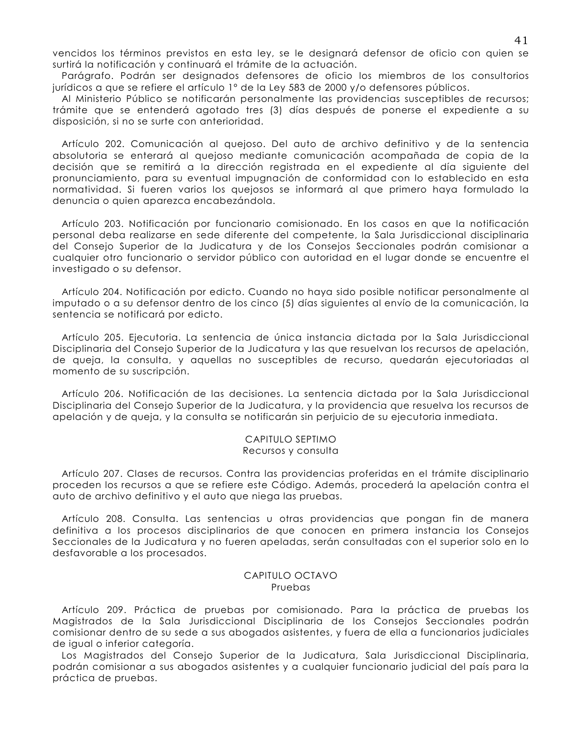vencidos los términos previstos en esta ley, se le designará defensor de oficio con quien se surtirá la notificación y continuará el trámite de la actuación.

Parágrafo. Podrán ser designados defensores de oficio los miembros de los consultorios jurídicos a que se refiere el artículo 1º de la Ley 583 de 2000 y/o defensores públicos.

Al Ministerio Público se notificarán personalmente las providencias susceptibles de recursos; trámite que se entenderá agotado tres (3) días después de ponerse el expediente a su disposición, si no se surte con anterioridad.

Artículo 202. Comunicación al queioso. Del quto de archivo definitivo y de la sentencia absolutoria se enterará al quejoso mediante comunicación acompañada de copia de la decisión que se remitirá a la dirección registrada en el expediente al día siguiente del pronunciamiento, para su eventual impugnación de conformidad con lo establecido en esta normatividad. Si fueren varios los quejosos se informará al que primero haya formulado la denuncia o quien aparezca encabezándola.

Artículo 203. Notificación por funcionario comisionado. En los casos en que la notificación personal deba realizarse en sede diferente del competente, la Sala Jurisdiccional disciplinaria del Consejo Superior de la Judicatura y de los Consejos Seccionales podrán comisionar a cualquier otro funcionario o servidor público con autoridad en el lugar donde se encuentre el investigado o su defensor.

Artículo 204. Notificación por edicto. Cuando no haya sido posible notificar personalmente al imputado o a su defensor dentro de los cinco (5) días siguientes al envío de la comunicación, la sentencia se notificará por edicto.

Artículo 205. Ejecutoria. La sentencia de única instancia dictada por la Sala Jurisdiccional Disciplinaria del Consejo Superior de la Judicatura y las que resuelvan los recursos de apelación, de queja, la consulta, y aquellas no susceptibles de recurso, quedarán ejecutoriadas al momento de su suscripción.

Artículo 206. Notificación de las decisiones. La sentencia dictada por la Sala Jurisdiccional Disciplinaria del Consejo Superior de la Judicatura, y la providencia que resuelva los recursos de apelación y de queja, y la consulta se notificarán sin perjuicio de su ejecutoria inmediata.

#### CAPITULO SEPTIMO Recursos y consulta

Artículo 207. Clases de recursos. Contra las providencias proferidas en el trámite disciplinario proceden los recursos a que se refiere este Código. Además, procederá la apelación contra el auto de archivo definitivo y el auto que niega las pruebas.

Artículo 208. Consulta. Las sentencias u otras providencias que pongan fin de manera definitiva a los procesos disciplinarios de que conocen en primera instancia los Consejos Seccionales de la Judicatura y no fueren apeladas, serán consultadas con el superior solo en lo desfavorable a los procesados.

## CAPITULO OCTAVO Pruebas

Artículo 209. Práctica de pruebas por comisionado. Para la práctica de pruebas los Magistrados de la Sala Jurisdiccional Disciplinaria de los Consejos Seccionales podrán comisionar dentro de su sede a sus abogados asistentes, y fuera de ella a funcionarios judiciales de igual o inferior categoría.

Los Magistrados del Consejo Superior de la Judicatura, Sala Jurisdiccional Disciplinaria, podrán comisionar a sus abogados asistentes y a cualquier funcionario judicial del país para la práctica de pruebas.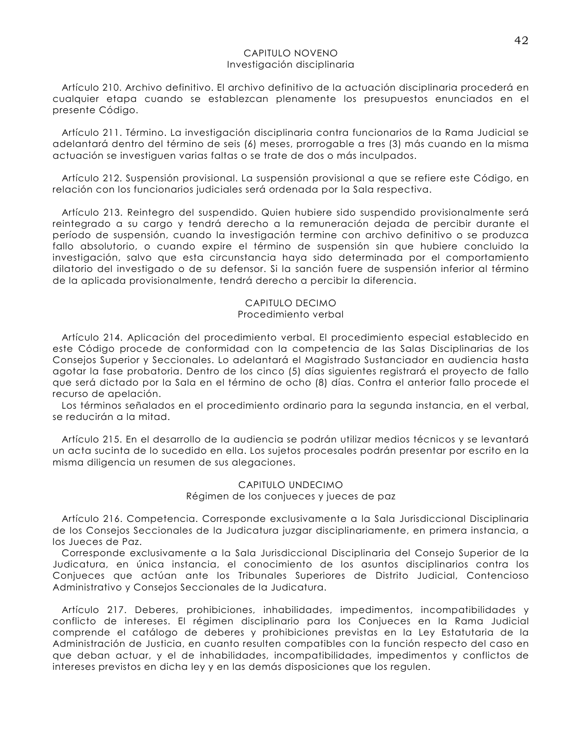## CAPITULO NOVENO Investigación disciplinaria

Artículo 210. Archivo definitivo. El archivo definitivo de la actuación disciplinaria procederá en cualquier etapa cuando se establezcan plenamente los presupuestos enunciados en el presente Código.

Artículo 211. Término. La investigación disciplinaria contra funcionarios de la Rama Judicial se adelantará dentro del término de seis (6) meses, prorrogable a tres (3) más cuando en la misma actuación se investiguen varias faltas o se trate de dos o más inculpados.

Artículo 212. Suspensión provisional. La suspensión provisional a que se refiere este Código, en relación con los funcionarios judiciales será ordenada por la Sala respectiva.

Artículo 213. Reintegro del suspendido. Quien hubiere sido suspendido provisionalmente será reintegrado a su cargo y tendrá derecho a la remuneración dejada de percibir durante el período de suspensión, cuando la investigación termine con archivo definitivo o se produzca fallo absolutorio, o cuando expire el término de suspensión sin que hubiere concluido la investigación, salvo que esta circunstancia haya sido determinada por el comportamiento dilatorio del investigado o de su defensor. Si la sanción fuere de suspensión inferior al término de la aplicada provisionalmente, tendrá derecho a percibir la diferencia.

# CAPITULO DECIMO

# Procedimiento verbal

Artículo 214. Aplicación del procedimiento verbal. El procedimiento especial establecido en este Código procede de conformidad con la competencia de las Salas Disciplinarias de los Consejos Superior y Seccionales. Lo adelantará el Magistrado Sustanciador en audiencia hasta agotar la fase probatoria. Dentro de los cinco (5) días siguientes registrará el proyecto de fallo que será dictado por la Sala en el término de ocho (8) días. Contra el anterior fallo procede el recurso de apelación.

Los términos señalados en el procedimiento ordinario para la segunda instancia, en el verbal, se reducirán a la mitad.

Artículo 215. En el desarrollo de la audiencia se podrán utilizar medios técnicos y se levantará un acta sucinta de lo sucedido en ella. Los sujetos procesales podrán presentar por escrito en la misma diligencia un resumen de sus alegaciones.

# CAPITULO UNDECIMO Régimen de los conjueces y jueces de paz

Artículo 216. Competencia. Corresponde exclusivamente a la Sala Jurisdiccional Disciplinaria de los Consejos Seccionales de la Judicatura juzgar disciplinariamente, en primera instancia, a los Jueces de Paz.

Corresponde exclusivamente a la Sala Jurisdiccional Disciplinaria del Consejo Superior de la Judicatura, en única instancia, el conocimiento de los asuntos disciplinarios contra los Conjueces que actúan ante los Tribunales Superiores de Distrito Judicial, Contencioso Administrativo y Consejos Seccionales de la Judicatura.

Artículo 217. Deberes, prohibiciones, inhabilidades, impedimentos, incompatibilidades y conflicto de intereses. El régimen disciplinario para los Conjueces en la Rama Judicial comprende el catálogo de deberes y prohibiciones previstas en la Ley Estatutaria de la Administración de Justicia, en cuanto resulten compatibles con la función respecto del caso en que deban actuar, y el de inhabilidades, incompatibilidades, impedimentos y conflictos de intereses previstos en dicha ley y en las demás disposiciones que los regulen.